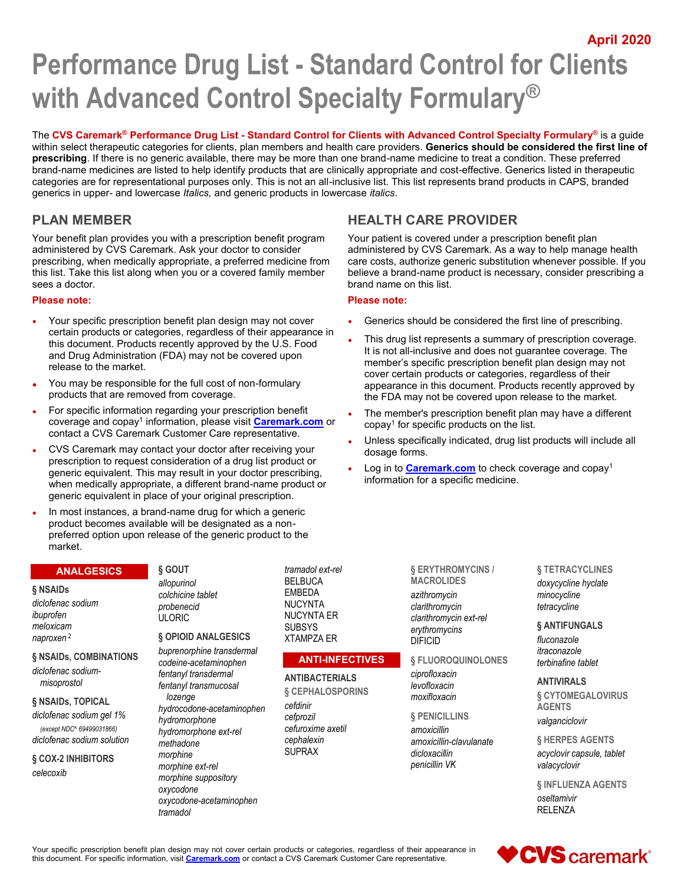**April 2020**

# **Performance Drug List - Standard Control for Clients with Advanced Control Specialty Formulary®**

The **CVS Caremark® Performance Drug List - Standard Control for Clients with Advanced Control Specialty Formulary®** is a guide within select therapeutic categories for clients, plan members and health care providers. **Generics should be considered the first line of prescribing**. If there is no generic available, there may be more than one brand-name medicine to treat a condition. These preferred brand-name medicines are listed to help identify products that are clinically appropriate and cost-effective. Generics listed in therapeutic categories are for representational purposes only. This is not an all-inclusive list. This list represents brand products in CAPS, branded generics in upper- and lowercase *Italics,* and generic products in lowercase *italics*.

# **PLAN MEMBER**

Your benefit plan provides you with a prescription benefit program administered by CVS Caremark. Ask your doctor to consider prescribing, when medically appropriate, a preferred medicine from this list. Take this list along when you or a covered family member sees a doctor.

#### **Please note:**

- Your specific prescription benefit plan design may not cover certain products or categories, regardless of their appearance in this document. Products recently approved by the U.S. Food and Drug Administration (FDA) may not be covered upon release to the market.
- You may be responsible for the full cost of non-formulary products that are removed from coverage.
- For specific information regarding your prescription benefit coverage and copay<sup>1</sup> information, please visit <mark>[Caremark.com](https://www.caremark.com/)</mark> or contact a CVS Caremark Customer Care representative.
- CVS Caremark may contact your doctor after receiving your prescription to request consideration of a drug list product or generic equivalent. This may result in your doctor prescribing, when medically appropriate, a different brand-name product or generic equivalent in place of your original prescription.
- In most instances, a brand-name drug for which a generic product becomes available will be designated as a nonpreferred option upon release of the generic product to the market.

#### **ANALGESICS**

#### **§ NSAIDs**

*diclofenac sodium ibuprofen meloxicam naproxen* <sup>2</sup>

#### **§ NSAIDs, COMBINATIONS**

*diclofenac sodiummisoprostol*

# **§ NSAIDs, TOPICAL**

*diclofenac sodium gel 1% (except NDC^ 69499031866) diclofenac sodium solution*

#### **§ COX-2 INHIBITORS** *celecoxib*

**§ GOUT** *allopurinol colchicine tablet probenecid* ULORIC

#### **§ OPIOID ANALGESICS**

*buprenorphine transdermal codeine-acetaminophen fentanyl transdermal fentanyl transmucosal lozenge hydrocodone-acetaminophen hydromorphone hydromorphone ext-rel methadone morphine morphine ext-rel morphine suppository oxycodone oxycodone-acetaminophen tramadol*

*tramadol ext-rel* BELBUCA **FMBFDA** NUCYNTA NUCYNTA ER SUBSYS XTAMPZA ER

# **ANTI-INFECTIVES**

**ANTIBACTERIALS § CEPHALOSPORINS**

*cefdinir cefprozil cefuroxime axetil cephalexin* SUPRAX

**MACROLIDES** *azithromycin clarithromycin clarithromycin ext-rel erythromycins* DIFICID

**§ FLUOROQUINOLONES**

**§ PENICILLINS**

*amoxicillin amoxicillin-clavulanate dicloxacillin penicillin VK*

**§ TETRACYCLINES** *doxycycline hyclate minocycline tetracycline*

**§ ANTIFUNGALS** *fluconazole itraconazole terbinafine tablet*

**ANTIVIRALS**

**§ CYTOMEGALOVIRUS AGENTS** *valganciclovir*

**§ HERPES AGENTS** *acyclovir capsule, tablet valacyclovir*

**§ INFLUENZA AGENTS** *oseltamivir* RELENZA

Your specific prescription benefit plan design may not cover certain products or categories, regardless of their appearance in this document. For specific information, visit **[Caremark.com](https://www.caremark.com/)** or contact a CVS Caremark Customer Care representative.

# **HEALTH CARE PROVIDER**

Your patient is covered under a prescription benefit plan administered by CVS Caremark. As a way to help manage health care costs, authorize generic substitution whenever possible. If you believe a brand-name product is necessary, consider prescribing a brand name on this list.

#### **Please note:**

- Generics should be considered the first line of prescribing.
- This drug list represents a summary of prescription coverage. It is not all-inclusive and does not guarantee coverage. The member's specific prescription benefit plan design may not cover certain products or categories, regardless of their appearance in this document. Products recently approved by the FDA may not be covered upon release to the market.
- The member's prescription benefit plan may have a different copay<sup>1</sup> for specific products on the list.
- Unless specifically indicated, drug list products will include all dosage forms.
- Log in to **[Caremark.com](https://www.caremark.com/)** to check coverage and copay<sup>1</sup> information for a specific medicine.

# **§ ERYTHROMYCINS /**

#### *ciprofloxacin levofloxacin moxifloxacin*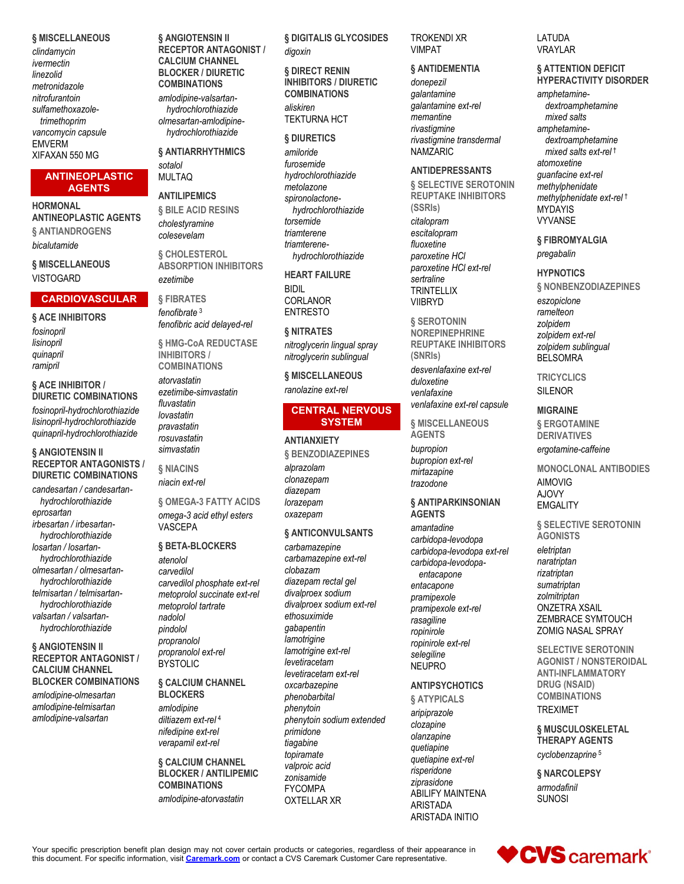#### **§ MISCELLANEOUS**

*clindamycin ivermectin linezolid metronidazole nitrofurantoin sulfamethoxazoletrimethoprim vancomycin capsule* EMVERM XIFAXAN 550 MG

#### **ANTINEOPLASTIC AGENTS**

**HORMONAL ANTINEOPLASTIC AGENTS § ANTIANDROGENS** *bicalutamide*

**§ MISCELLANEOUS** VISTOGARD

**§ ACE INHIBITORS**

**§ ACE INHIBITOR / DIURETIC COMBINATIONS** *fosinopril-hydrochlorothiazide lisinopril-hydrochlorothiazide quinapril-hydrochlorothiazide*

**§ ANGIOTENSIN II** 

*irbesartan / irbesartanhydrochlorothiazide losartan / losartanhydrochlorothiazide olmesartan / olmesartanhydrochlorothiazide telmisartan / telmisartanhydrochlorothiazide valsartan / valsartanhydrochlorothiazide* **§ ANGIOTENSIN II RECEPTOR ANTAGONIST / CALCIUM CHANNEL BLOCKER COMBINATIONS** *amlodipine-olmesartan amlodipine-telmisartan amlodipine-valsartan*

*eprosartan*

**RECEPTOR ANTAGONISTS / DIURETIC COMBINATIONS** *candesartan / candesartanhydrochlorothiazide*

*fosinopril lisinopril quinapril ramipril*

#### **CARDIOVASCULAR**

*fenofibrate* <sup>3</sup> *fenofibric acid delayed-rel*

*ezetimibe* **§ FIBRATES**

**§ ANGIOTENSIN II RECEPTOR ANTAGONIST / CALCIUM CHANNEL BLOCKER / DIURETIC COMBINATIONS** *amlodipine-valsartanhydrochlorothiazide olmesartan-amlodipinehydrochlorothiazide* **§ ANTIARRHYTHMICS**

*sotalol* MULTAQ **ANTILIPEMICS § BILE ACID RESINS** *cholestyramine colesevelam* **§ CHOLESTEROL ABSORPTION INHIBITORS**

**§ HMG-CoA REDUCTASE INHIBITORS / COMBINATIONS**

*atorvastatin ezetimibe-simvastatin fluvastatin lovastatin pravastatin rosuvastatin simvastatin*

**§ NIACINS** *niacin ext-rel*

**§ OMEGA-3 FATTY ACIDS** *omega-3 acid ethyl esters* VASCEPA

#### **§ BETA-BLOCKERS**

*atenolol carvedilol carvedilol phosphate ext-rel metoprolol succinate ext-rel metoprolol tartrate nadolol pindolol propranolol propranolol ext-rel* **BYSTOLIC** 

# **§ CALCIUM CHANNEL**

**BLOCKERS** *amlodipine diltiazem ext-rel* <sup>4</sup> *nifedipine ext-rel verapamil ext-rel*

**§ CALCIUM CHANNEL BLOCKER / ANTILIPEMIC COMBINATIONS**

*amlodipine-atorvastatin*

**§ DIGITALIS GLYCOSIDES** *digoxin*

**§ DIRECT RENIN INHIBITORS / DIURETIC COMBINATIONS** *aliskiren* TEKTURNA HCT

#### **§ DIURETICS**

*amiloride furosemide hydrochlorothiazide metolazone spironolactonehydrochlorothiazide torsemide triamterene triamterenehydrochlorothiazide*

#### **HEART FAILURE**

BIDIL CORLANOR ENTRESTO

#### **§ NITRATES**

*nitroglycerin lingual spray nitroglycerin sublingual*

**§ MISCELLANEOUS** *ranolazine ext-rel*

#### **CENTRAL NERVOUS SYSTEM**

#### **ANTIANXIETY**

**§ BENZODIAZEPINES** *alprazolam clonazepam diazepam lorazepam oxazepam*

#### **§ ANTICONVULSANTS**

*carbamazepine carbamazepine ext-rel clobazam diazepam rectal gel divalproex sodium divalproex sodium ext-rel ethosuximide gabapentin lamotrigine lamotrigine ext-rel levetiracetam levetiracetam ext-rel oxcarbazepine phenobarbital phenytoin phenytoin sodium extended primidone tiagabine topiramate valproic acid zonisamide* FYCOMPA OXTELLAR XR

#### TROKENDI XR VIMPAT

# **§ ANTIDEMENTIA**

*donepezil galantamine galantamine ext-rel memantine rivastigmine rivastigmine transdermal* NAMZARIC

#### **ANTIDEPRESSANTS**

**§ SELECTIVE SEROTONIN REUPTAKE INHIBITORS (SSRIs)** *citalopram escitalopram fluoxetine paroxetine HCl paroxetine HCl ext-rel sertraline* **TRINTELLIX** VIIBRYD

**§ SEROTONIN NOREPINEPHRINE REUPTAKE INHIBITORS (SNRIs)**

*desvenlafaxine ext-rel duloxetine venlafaxine venlafaxine ext-rel capsule*

**§ MISCELLANEOUS AGENTS** *bupropion bupropion ext-rel mirtazapine trazodone*

#### **§ ANTIPARKINSONIAN AGENTS**

*amantadine carbidopa-levodopa carbidopa-levodopa ext-rel carbidopa-levodopaentacapone entacapone pramipexole pramipexole ext-rel rasagiline ropinirole ropinirole ext-rel selegiline* NEUPRO

#### **ANTIPSYCHOTICS**

**§ ATYPICALS**

*aripiprazole clozapine olanzapine quetiapine quetiapine ext-rel risperidone ziprasidone* ABILIFY MAINTENA ARISTADA ARISTADA INITIO

#### LATUDA VRAYLAR

#### **§ ATTENTION DEFICIT HYPERACTIVITY DISORDER**

*amphetaminedextroamphetamine mixed salts amphetaminedextroamphetamine mixed salts ext-rel* † *atomoxetine guanfacine ext-rel methylphenidate methylphenidate ext-rel* † MYDAYIS VYVANSE

**§ FIBROMYALGIA** *pregabalin*

#### **HYPNOTICS**

**§ NONBENZODIAZEPINES** *eszopiclone ramelteon zolpidem zolpidem ext-rel zolpidem sublingual* BELSOMRA

**TRICYCLICS** SILENOR

#### **MIGRAINE**

**§ ERGOTAMINE DERIVATIVES** *ergotamine-caffeine*

**MONOCLONAL ANTIBODIES** AIMOVIG AJOVY EMGALITY

**§ SELECTIVE SEROTONIN AGONISTS** *eletriptan naratriptan rizatriptan sumatriptan zolmitriptan* ONZETRA XSAIL ZEMBRACE SYMTOUCH ZOMIG NASAL SPRAY

**SELECTIVE SEROTONIN AGONIST / NONSTEROIDAL ANTI-INFLAMMATORY DRUG (NSAID) COMBINATIONS** TREXIMET

**§ MUSCULOSKELETAL THERAPY AGENTS** *cyclobenzaprine* <sup>5</sup>

**§ NARCOLEPSY** *armodafinil* SUNOSI

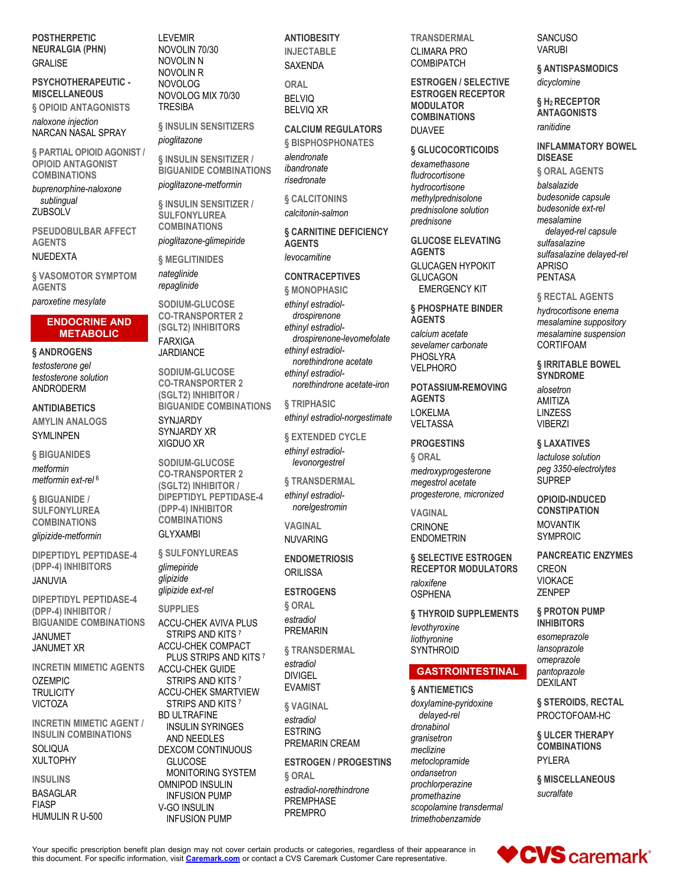**POSTHERPETIC NEURALGIA (PHN) GRALISE** 

#### **PSYCHOTHERAPEUTIC - MISCELLANEOUS**

**§ OPIOID ANTAGONISTS** *naloxone injection* NARCAN NASAL SPRAY

**§ PARTIAL OPIOID AGONIST / OPIOID ANTAGONIST COMBINATIONS**

*buprenorphine-naloxone sublingual* **ZUBSOLV** 

**PSEUDOBULBAR AFFECT AGENTS**

#### NUEDEXTA

**§ VASOMOTOR SYMPTOM AGENTS**

*paroxetine mesylate*

#### **ENDOCRINE AND METABOLIC**

# **§ ANDROGENS**

*testosterone gel testosterone solution* ANDRODERM

**ANTIDIABETICS**

#### **AMYLIN ANALOGS** SYMLINPEN

**§ BIGUANIDES**

*metformin metformin ext-rel* <sup>6</sup>

**§ BIGUANIDE / SULFONYLUREA COMBINATIONS**

*glipizide-metformin*

**DIPEPTIDYL PEPTIDASE-4 (DPP-4) INHIBITORS** JANUVIA

**DIPEPTIDYL PEPTIDASE-4 (DPP-4) INHIBITOR / BIGUANIDE COMBINATIONS**

JANUMET JANUMET XR

**INCRETIN MIMETIC AGENTS** OZEMPIC

**TRULICITY** VICTOZA

**INCRETIN MIMETIC AGENT / INSULIN COMBINATIONS SOLIQUA** XULTOPHY

# **INSULINS**

BASAGLAR FIASP HUMULIN R U-500 LEVEMIR NOVOLIN 70/30 NOVOLIN N NOVOLIN R NOVOLOG NOVOLOG MIX 70/30 **TRESIBA** 

**§ INSULIN SENSITIZERS** *pioglitazone*

**§ INSULIN SENSITIZER / BIGUANIDE COMBINATIONS**

*pioglitazone-metformin*

**§ INSULIN SENSITIZER / SULFONYLUREA COMBINATIONS**

*pioglitazone-glimepiride*

**§ MEGLITINIDES** *nateglinide repaglinide*

**SODIUM-GLUCOSE CO-TRANSPORTER 2 (SGLT2) INHIBITORS** FARXIGA JARDIANCE

**SODIUM-GLUCOSE CO-TRANSPORTER 2 (SGLT2) INHIBITOR / BIGUANIDE COMBINATIONS** SYNJARDY SYNJARDY XR XIGDUO XR

**SODIUM-GLUCOSE CO-TRANSPORTER 2 (SGLT2) INHIBITOR / DIPEPTIDYL PEPTIDASE-4 (DPP-4) INHIBITOR COMBINATIONS** GLYXAMBI

**§ SULFONYLUREAS** *glimepiride glipizide glipizide ext-rel*

**SUPPLIES**

ACCU-CHEK AVIVA PLUS STRIPS AND KITS 7 ACCU-CHEK COMPACT PLUS STRIPS AND KITS <sup>7</sup> ACCU-CHEK GUIDE STRIPS AND KITS 7 ACCU-CHEK SMARTVIEW STRIPS AND KITS <sup>7</sup> BD ULTRAFINE INSULIN SYRINGES AND NEEDLES DEXCOM CONTINUOUS **GLUCOSE** MONITORING SYSTEM OMNIPOD INSULIN INFUSION PUMP V-GO INSULIN

INFUSION PUMP

**ANTIOBESITY INJECTABLE** SAXENDA

**ORAL** BELVIQ BELVIQ XR

# **CALCIUM REGULATORS**

**§ BISPHOSPHONATES** *alendronate ibandronate risedronate*

**§ CALCITONINS** *calcitonin-salmon*

**§ CARNITINE DEFICIENCY AGENTS** *levocarnitine*

# **CONTRACEPTIVES**

**§ MONOPHASIC** *ethinyl estradioldrospirenone ethinyl estradioldrospirenone-levomefolate ethinyl estradiolnorethindrone acetate ethinyl estradiolnorethindrone acetate-iron*

**§ TRIPHASIC** *ethinyl estradiol-norgestimate*

**§ EXTENDED CYCLE** *ethinyl estradiollevonorgestrel*

**§ TRANSDERMAL**

*ethinyl estradiolnorelgestromin*

**VAGINAL** NUVARING

**ENDOMETRIOSIS ORILISSA** 

**ESTROGENS**

**§ ORAL** *estradiol*

PREMARIN

**§ TRANSDERMAL** *estradiol* DIVIGEL EVAMIST

**§ VAGINAL** *estradiol*

ESTRING PREMARIN CREAM

**ESTROGEN / PROGESTINS § ORAL** *estradiol-norethindrone* PREMPHASE PREMPRO

**TRANSDERMAL** CLIMARA PRO COMBIPATCH

**ESTROGEN / SELECTIVE ESTROGEN RECEPTOR MODULATOR COMBINATIONS** DUAVEE

#### **§ GLUCOCORTICOIDS**

*dexamethasone fludrocortisone hydrocortisone methylprednisolone prednisolone solution prednisone*

**GLUCOSE ELEVATING AGENTS** GLUCAGEN HYPOKIT GLUCAGON EMERGENCY KIT

#### **§ PHOSPHATE BINDER AGENTS**

*calcium acetate sevelamer carbonate* PHOSLYRA VELPHORO

**POTASSIUM-REMOVING AGENTS** LOKELMA VELTASSA

**PROGESTINS**

**§ ORAL** *medroxyprogesterone megestrol acetate progesterone, micronized*

**VAGINAL** CRINONE ENDOMETRIN

**§ SELECTIVE ESTROGEN RECEPTOR MODULATORS** *raloxifene* **OSPHENA** 

**§ THYROID SUPPLEMENTS** *levothyroxine liothyronine* **SYNTHROID** 

# **GASTROINTESTINAL**

# **§ ANTIEMETICS**

*doxylamine-pyridoxine delayed-rel dronabinol granisetron meclizine metoclopramide ondansetron prochlorperazine promethazine scopolamine transdermal trimethobenzamide*

**SANCUSO VARUBI** 

**§ ANTISPASMODICS** *dicyclomine*

**§ H2 RECEPTOR ANTAGONISTS** *ranitidine*

**INFLAMMATORY BOWEL DISEASE**

**§ ORAL AGENTS** *balsalazide budesonide capsule budesonide ext-rel mesalamine delayed-rel capsule sulfasalazine sulfasalazine delayed-rel* APRISO PENTASA

**§ RECTAL AGENTS**

*hydrocortisone enema mesalamine suppository mesalamine suspension* CORTIFOAM

**§ IRRITABLE BOWEL SYNDROME** *alosetron* AMITIZA

LINZESS VIBERZI

**§ LAXATIVES**

*lactulose solution peg 3350-electrolytes* SUPREP

**OPIOID-INDUCED CONSTIPATION** MOVANTIK SYMPROIC

**PANCREATIC ENZYMES** CREON VIOKACE ZENPEP

**§ PROTON PUMP INHIBITORS**

*esomeprazole lansoprazole omeprazole pantoprazole* DEXILANT

**§ STEROIDS, RECTAL** PROCTOFOAM-HC

**§ ULCER THERAPY COMBINATIONS** PYLERA

**§ MISCELLANEOUS** *sucralfate*

**VCVS** caremark®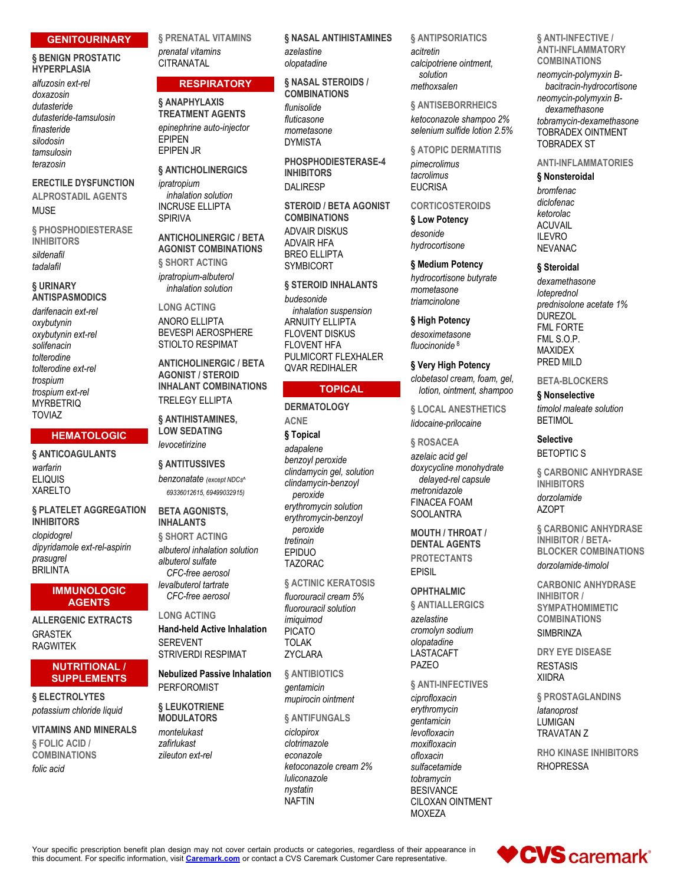#### **GENITOURINARY**

#### **§ BENIGN PROSTATIC HYPERPLASIA**

*alfuzosin ext-rel doxazosin dutasteride dutasteride-tamsulosin finasteride silodosin tamsulosin terazosin*

#### **ERECTILE DYSFUNCTION ALPROSTADIL AGENTS**

MUSE

**§ PHOSPHODIESTERASE INHIBITORS** *sildenafil tadalafil*

#### **§ URINARY ANTISPASMODICS**

*darifenacin ext-rel oxybutynin oxybutynin ext-rel solifenacin tolterodine tolterodine ext-rel trospium trospium ext-rel* **MYRBETRIQ** TOVIAZ

#### **HEMATOLOGIC**

**§ ANTICOAGULANTS** *warfarin*

ELIQUIS XARELTO

**§ PLATELET AGGREGATION INHIBITORS** *clopidogrel dipyridamole ext-rel-aspirin prasugrel* **BRILINTA** 

#### **IMMUNOLOGIC AGENTS**

**ALLERGENIC EXTRACTS** GRASTEK RAGWITEK

#### **NUTRITIONAL / SUPPLEMENTS**

**§ ELECTROLYTES** *potassium chloride liquid*

**VITAMINS AND MINERALS § FOLIC ACID / COMBINATIONS** *folic acid*

**§ PRENATAL VITAMINS** *prenatal vitamins* **CITRANATAL** 

#### **RESPIRATORY**

**§ ANAPHYLAXIS TREATMENT AGENTS** *epinephrine auto-injector* EPIPEN EPIPEN JR

#### **§ ANTICHOLINERGICS**

*ipratropium inhalation solution* INCRUSE ELLIPTA SPIRIVA

**ANTICHOLINERGIC / BETA AGONIST COMBINATIONS § SHORT ACTING**

*ipratropium-albuterol inhalation solution*

**LONG ACTING** ANORO ELLIPTA BEVESPI AEROSPHERE STIOLTO RESPIMAT

**ANTICHOLINERGIC / BETA AGONIST / STEROID INHALANT COMBINATIONS** TRELEGY ELLIPTA

**§ ANTIHISTAMINES, LOW SEDATING** *levocetirizine*

#### **§ ANTITUSSIVES**

*benzonatate (except NDCs^ 69336012615, 69499032915)*

#### **BETA AGONISTS, INHALANTS § SHORT ACTING** *albuterol inhalation solution*

*albuterol sulfate CFC-free aerosol levalbuterol tartrate CFC-free aerosol*

**LONG ACTING Hand-held Active Inhalation SEREVENT** STRIVERDI RESPIMAT

**Nebulized Passive Inhalation** PERFOROMIST

**§ LEUKOTRIENE MODULATORS**

*montelukast zafirlukast zileuton ext-rel* **§ NASAL ANTIHISTAMINES** *azelastine olopatadine*

**§ NASAL STEROIDS / COMBINATIONS** *flunisolide fluticasone mometasone*

DYMISTA **PHOSPHODIESTERASE-4 INHIBITORS** DALIRESP

**STEROID / BETA AGONIST COMBINATIONS**

ADVAIR DISKUS ADVAIR HFA BREO ELLIPTA SYMBICORT

**§ STEROID INHALANTS** *budesonide inhalation suspension* **ARNUITY FILIPTA** FLOVENT DISKUS FLOVENT HFA PULMICORT FLEXHALER QVAR REDIHALER

#### **TOPICAL**

**DERMATOLOGY ACNE § Topical** *adapalene benzoyl peroxide clindamycin gel, solution clindamycin-benzoyl peroxide erythromycin solution erythromycin-benzoyl peroxide tretinoin* EPIDUO TAZORAC

**§ ACTINIC KERATOSIS** *fluorouracil cream 5% fluorouracil solution imiquimod* PICATO TOLAK **ZYCLARA** 

**§ ANTIBIOTICS** *gentamicin mupirocin ointment*

**§ ANTIFUNGALS**

*ciclopirox clotrimazole econazole ketoconazole cream 2% luliconazole nystatin* NAFTIN

#### **§ ANTIPSORIATICS**

*acitretin calcipotriene ointment, solution methoxsalen*

# **§ ANTISEBORRHEICS**

*ketoconazole shampoo 2% selenium sulfide lotion 2.5%*

#### **§ ATOPIC DERMATITIS**

*pimecrolimus tacrolimus*

# **EUCRISA**

**CORTICOSTEROIDS**

**§ Low Potency** *desonide hydrocortisone*

**§ Medium Potency**

*hydrocortisone butyrate mometasone triamcinolone*

**§ High Potency** *desoximetasone fluocinonide* <sup>8</sup>

**§ Very High Potency** *clobetasol cream, foam, gel,* 

*lotion, ointment, shampoo* **§ LOCAL ANESTHETICS** *lidocaine-prilocaine*

**§ ROSACEA**

*azelaic acid gel doxycycline monohydrate delayed-rel capsule metronidazole* FINACEA FOAM SOOLANTRA

**MOUTH / THROAT / DENTAL AGENTS PROTECTANTS** EPISIL

# **OPHTHALMIC**

**§ ANTIALLERGICS** *azelastine cromolyn sodium olopatadine* LASTACAFT PAZEO

#### **§ ANTI-INFECTIVES**

*ciprofloxacin erythromycin gentamicin levofloxacin moxifloxacin ofloxacin sulfacetamide tobramycin* **BESIVANCE** CILOXAN OINTMENT MOXEZA

**§ ANTI-INFECTIVE / ANTI-INFLAMMATORY COMBINATIONS**

*neomycin-polymyxin Bbacitracin-hydrocortisone neomycin-polymyxin Bdexamethasone tobramycin-dexamethasone* TOBRADEX OINTMENT TOBRADEX ST

**ANTI-INFLAMMATORIES**

**§ Nonsteroidal** *bromfenac diclofenac ketorolac* **ACLIVAIL** ILEVRO NEVANAC

**§ Steroidal**

*dexamethasone loteprednol prednisolone acetate 1%* DUREZOL FML FORTE FML S.O.P. MAXIDEX PRED MILD

**BETA-BLOCKERS**

**§ Nonselective** *timolol maleate solution* BETIMOL

**Selective** BETOPTIC S

**§ CARBONIC ANHYDRASE INHIBITORS** *dorzolamide* AZOPT

**§ CARBONIC ANHYDRASE INHIBITOR / BETA-BLOCKER COMBINATIONS** *dorzolamide-timolol*

**CARBONIC ANHYDRASE INHIBITOR / SYMPATHOMIMETIC COMBINATIONS**

**SIMBRINZA** 

**DRY EYE DISEASE RESTASIS** XIIDRA

**§ PROSTAGLANDINS** *latanoprost* LUMIGAN TRAVATAN Z

**RHO KINASE INHIBITORS RHOPRESSA** 

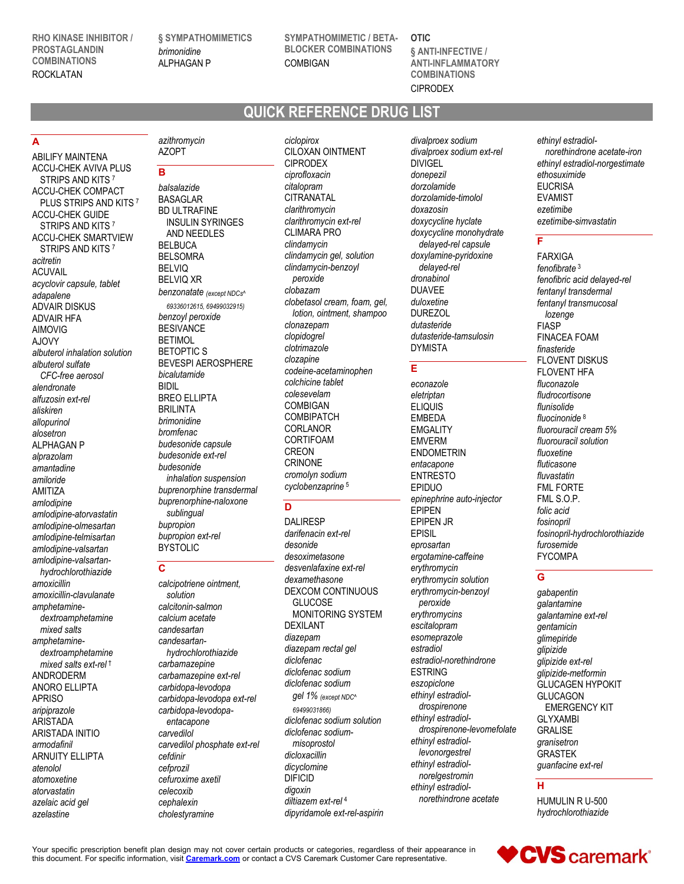**RHO KINASE INHIBITOR / PROSTAGLANDIN COMBINATIONS** ROCKLATAN

**§ SYMPATHOMIMETICS** *brimonidine* ALPHAGAN P

**SYMPATHOMIMETIC / BETA-BLOCKER COMBINATIONS** COMBIGAN

**OTIC § ANTI-INFECTIVE / ANTI-INFLAMMATORY COMBINATIONS** CIPRODEX

# **QUICK REFERENCE DRUG LIST**

# **A**

ABILIFY MAINTENA ACCU-CHEK AVIVA PLUS STRIPS AND KITS 7 ACCU-CHEK COMPACT PLUS STRIPS AND KITS 7 ACCU-CHEK GUIDE STRIPS AND KITS<sup>7</sup> ACCU-CHEK SMARTVIEW STRIPS AND KITS<sup>7</sup> *acitretin* ACUVAIL *acyclovir capsule, tablet adapalene* ADVAIR DISKUS ADVAIR HFA AIMOVIG AJOVY *albuterol inhalation solution albuterol sulfate CFC-free aerosol alendronate alfuzosin ext-rel aliskiren allopurinol alosetron* ALPHAGAN P *alprazolam amantadine amiloride* AMITIZA *amlodipine amlodipine-atorvastatin amlodipine-olmesartan amlodipine-telmisartan amlodipine-valsartan amlodipine-valsartanhydrochlorothiazide amoxicillin amoxicillin-clavulanate amphetaminedextroamphetamine mixed salts amphetaminedextroamphetamine mixed salts ext-rel* † ANDRODERM ANORO ELLIPTA APRISO *aripiprazole* ARISTADA ARISTADA INITIO *armodafinil* ARNUITY ELLIPTA *atenolol atomoxetine atorvastatin azelaic acid gel azelastine*

# *azithromycin* AZOPT

**B**

*balsalazide* BASAGLAR BD ULTRAFINE INSULIN SYRINGES AND NEEDLES BELBUCA BELSOMRA BELVIQ BELVIQ XR *benzonatate (except NDCs^ 69336012615, 69499032915) benzoyl peroxide* BESIVANCE **BETIMOL** BETOPTIC S BEVESPI AEROSPHERE *bicalutamide* BIDIL BREO ELLIPTA BRILINTA *brimonidine bromfenac budesonide capsule budesonide ext-rel budesonide inhalation suspension buprenorphine transdermal buprenorphine-naloxone sublingual bupropion bupropion ext-rel* BYSTOLIC

#### **C**

*calcipotriene ointment, solution calcitonin-salmon calcium acetate candesartan candesartanhydrochlorothiazide carbamazepine carbamazepine ext-rel carbidopa-levodopa carbidopa-levodopa ext-rel carbidopa-levodopaentacapone carvedilol carvedilol phosphate ext-rel cefdinir cefprozil cefuroxime axetil celecoxib cephalexin cholestyramine*

*ciclopirox* CILOXAN OINTMENT CIPRODEX *ciprofloxacin citalopram* CITRANATAL *clarithromycin clarithromycin ext-rel* CLIMARA PRO *clindamycin clindamycin gel, solution clindamycin-benzoyl peroxide clobazam clobetasol cream, foam, gel, lotion, ointment, shampoo clonazepam clopidogrel clotrimazole clozapine codeine-acetaminophen colchicine tablet colesevelam* COMBIGAN **COMBIPATCH CORLANOR CORTIFOAM** CREON CRINONE *cromolyn sodium cyclobenzaprine* <sup>5</sup>

#### **D**

DALIRESP *darifenacin ext-rel desonide desoximetasone desvenlafaxine ext-rel dexamethasone* DEXCOM CONTINUOUS **GLUCOSE** MONITORING SYSTEM DEXILANT *diazepam diazepam rectal gel diclofenac diclofenac sodium diclofenac sodium gel 1% (except NDC^ 69499031866) diclofenac sodium solution diclofenac sodiummisoprostol dicloxacillin dicyclomine* DIFICID *digoxin diltiazem ext-rel* <sup>4</sup> *dipyridamole ext-rel-aspirin* *divalproex sodium divalproex sodium ext-rel* DIVIGEL *donepezil dorzolamide dorzolamide-timolol doxazosin doxycycline hyclate doxycycline monohydrate delayed-rel capsule doxylamine-pyridoxine delayed-rel dronabinol* DUAVEE *duloxetine* DUREZOL *dutasteride dutasteride-tamsulosin* DYMISTA

# **E**

*econazole eletriptan* ELIQUIS EMBEDA **EMGALITY** EMVERM ENDOMETRIN *entacapone* ENTRESTO EPIDUO *epinephrine auto-injector* EPIPEN EPIPEN JR EPISIL *eprosartan ergotamine-caffeine erythromycin erythromycin solution erythromycin-benzoyl peroxide erythromycins escitalopram esomeprazole estradiol estradiol-norethindrone* ESTRING *eszopiclone ethinyl estradioldrospirenone ethinyl estradioldrospirenone-levomefolate ethinyl estradiollevonorgestrel ethinyl estradiolnorelgestromin ethinyl estradiolnorethindrone acetate*

*ethinyl estradiolnorethindrone acetate-iron ethinyl estradiol-norgestimate ethosuximide* **EUCRISA** EVAMIST *ezetimibe ezetimibe-simvastatin*

# **F**

FARXIGA *fenofibrate* <sup>3</sup> *fenofibric acid delayed-rel fentanyl transdermal fentanyl transmucosal lozenge* FIASP FINACEA FOAM *finasteride* FLOVENT DISKUS FLOVENT HFA *fluconazole fludrocortisone flunisolide fluocinonide* <sup>8</sup> *fluorouracil cream 5% fluorouracil solution fluoxetine fluticasone fluvastatin* FML FORTE FML S.O.P. *folic acid fosinopril fosinopril-hydrochlorothiazide furosemide* FYCOMPA

# **G**

*gabapentin galantamine galantamine ext-rel gentamicin glimepiride glipizide glipizide ext-rel glipizide-metformin* GLUCAGEN HYPOKIT **GLUCAGON** EMERGENCY KIT GLYXAMBI GRALISE *granisetron* GRASTEK *guanfacine ext-rel*

#### **H**

HUMULIN R U-500 *hydrochlorothiazide*

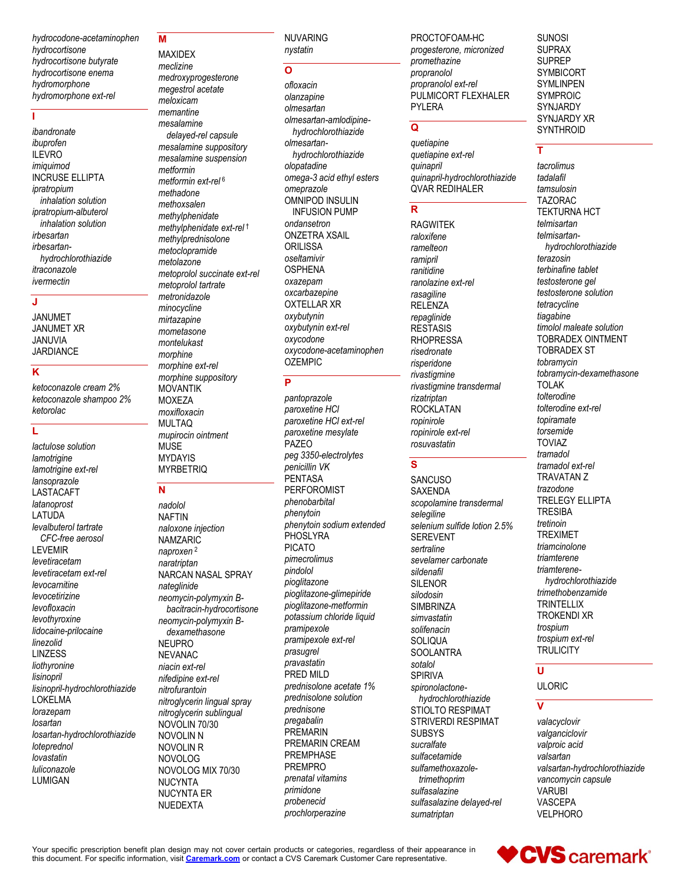*hydrocodone-acetaminophen hydrocortisone hydrocortisone butyrate hydrocortisone enema hydromorphone hydromorphone ext-rel*

#### **I**

*ibandronate ibuprofen* ILEVRO *imiquimod* INCRUSE ELLIPTA *ipratropium inhalation solution ipratropium-albuterol inhalation solution irbesartan irbesartanhydrochlorothiazide itraconazole ivermectin*

#### **J**

JANUMET JANUMET XR JANUVIA **JARDIANCE** 

# **K**

*ketoconazole cream 2% ketoconazole shampoo 2% ketorolac*

#### **L**

*lactulose solution lamotrigine lamotrigine ext-rel lansoprazole* LASTACAFT *latanoprost* LATUDA *levalbuterol tartrate CFC-free aerosol* LEVEMIR *levetiracetam levetiracetam ext-rel levocarnitine levocetirizine levofloxacin levothyroxine lidocaine-prilocaine linezolid* LINZESS *liothyronine lisinopril lisinopril-hydrochlorothiazide* LOKELMA *lorazepam losartan losartan-hydrochlorothiazide loteprednol lovastatin luliconazole* LUMIGAN

#### **M** MAXIDEX

*meclizine medroxyprogesterone megestrol acetate meloxicam memantine mesalamine delayed-rel capsule mesalamine suppository mesalamine suspension metformin metformin ext-rel* <sup>6</sup> *methadone methoxsalen methylphenidate methylphenidate ext-rel* † *methylprednisolone metoclopramide metolazone metoprolol succinate ext-rel metoprolol tartrate metronidazole minocycline mirtazapine mometasone montelukast morphine morphine ext-rel morphine suppository* MOVANTIK MOXEZA *moxifloxacin* MULTAQ *mupirocin ointment* MUSE MYDAYIS **MYRBETRIQ** 

#### **N**

*nadolol* NAFTIN *naloxone injection* **NAMZARIC** *naproxen* <sup>2</sup> *naratriptan* NARCAN NASAL SPRAY *nateglinide neomycin-polymyxin Bbacitracin-hydrocortisone neomycin-polymyxin Bdexamethasone* NEUPRO NEVANAC *niacin ext-rel nifedipine ext-rel nitrofurantoin nitroglycerin lingual spray nitroglycerin sublingual* NOVOLIN 70/30 NOVOLIN N NOVOLIN R NOVOLOG NOVOLOG MIX 70/30 NUCYNTA NUCYNTA ER NUEDEXTA

NUVARING *nystatin*

# **O**

*ofloxacin olanzapine olmesartan olmesartan-amlodipinehydrochlorothiazide olmesartanhydrochlorothiazide olopatadine omega-3 acid ethyl esters omeprazole* OMNIPOD INSULIN INFUSION PUMP *ondansetron* ONZETRA XSAIL **ORILISSA** *oseltamivir* **OSPHENA** *oxazepam oxcarbazepine* OXTELLAR XR *oxybutynin oxybutynin ext-rel oxycodone oxycodone-acetaminophen* OZEMPIC

#### **P**

*pantoprazole paroxetine HCl paroxetine HCl ext-rel paroxetine mesylate* PAZEO *peg 3350-electrolytes penicillin VK* **PENTASA** PERFOROMIST *phenobarbital phenytoin phenytoin sodium extended* **PHOSLYRA** PICATO *pimecrolimus pindolol pioglitazone pioglitazone-glimepiride pioglitazone-metformin potassium chloride liquid pramipexole pramipexole ext-rel prasugrel pravastatin* PRED MILD *prednisolone acetate 1% prednisolone solution prednisone pregabalin* PREMARIN PREMARIN CREAM PREMPHASE PREMPRO *prenatal vitamins primidone probenecid prochlorperazine*

PROCTOFOAM-HC *progesterone, micronized promethazine propranolol propranolol ext-rel* PULMICORT FLEXHALER PYLERA

# **Q**

*quetiapine quetiapine ext-rel quinapril quinapril-hydrochlorothiazide* QVAR REDIHALER

#### **R**

RAGWITEK *raloxifene ramelteon ramipril ranitidine ranolazine ext-rel rasagiline* RELENZA *repaglinide* RESTASIS RHOPRESSA *risedronate risperidone rivastigmine rivastigmine transdermal rizatriptan* ROCKLATAN *ropinirole ropinirole ext-rel rosuvastatin*

# **S**

**SANCUSO** SAXENDA *scopolamine transdermal selegiline selenium sulfide lotion 2.5%* SEREVENT *sertraline sevelamer carbonate sildenafil* SILENOR *silodosin* **SIMBRINZA** *simvastatin solifenacin* **SOLIQUA SOOLANTRA** *sotalol* SPIRIVA *spironolactonehydrochlorothiazide* STIOLTO RESPIMAT STRIVERDI RESPIMAT **SUBSYS** *sucralfate sulfacetamide sulfamethoxazoletrimethoprim sulfasalazine sulfasalazine delayed-rel sumatriptan*

SUNOSI SUPRAX SUPREP SYMBICORT SYMLINPEN SYMPROIC SYNJARDY SYNJARDY XR **SYNTHROID** 

# **T**

*tacrolimus tadalafil tamsulosin* TAZORAC TEKTURNA HCT *telmisartan telmisartanhydrochlorothiazide terazosin terbinafine tablet testosterone gel testosterone solution tetracycline tiagabine timolol maleate solution* TOBRADEX OINTMENT TOBRADEX ST *tobramycin tobramycin-dexamethasone* TOLAK *tolterodine tolterodine ext-rel topiramate torsemide* TOVIAZ *tramadol tramadol ext-rel* TRAVATAN Z *trazodone* TRELEGY ELLIPTA **TRESIBA** *tretinoin* TREXIMET *triamcinolone triamterene triamterenehydrochlorothiazide trimethobenzamide* **TRINTELLIX** TROKENDI XR *trospium trospium ext-rel* **TRULICITY** 

#### **U**

ULORIC

# **V**

*valacyclovir valganciclovir valproic acid valsartan valsartan-hydrochlorothiazide vancomycin capsule* VARUBI VASCEPA VELPHORO

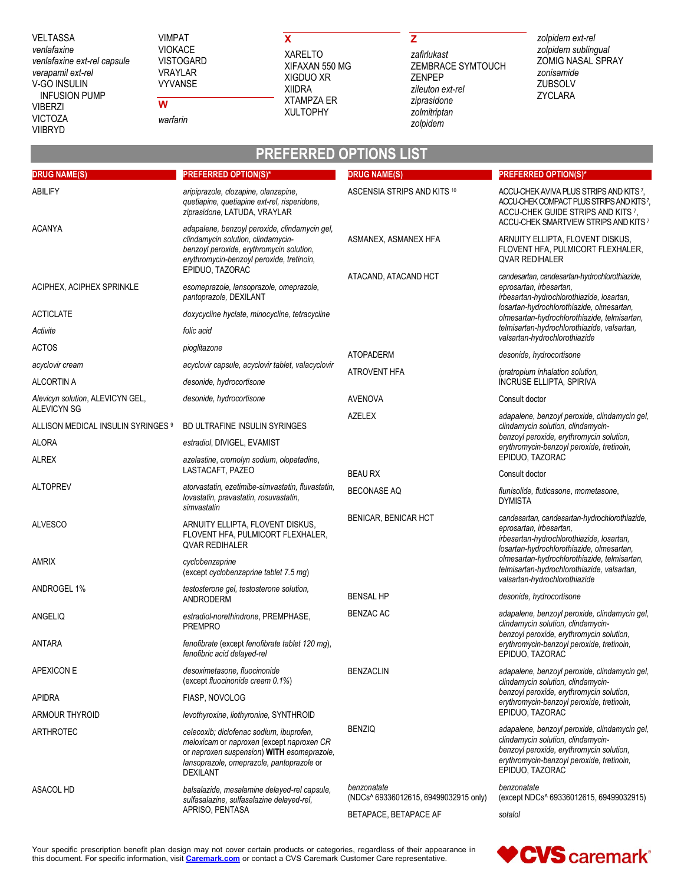VELTASSA *venlafaxine venlafaxine ext-rel capsule verapamil ext-rel* V-GO INSULIN INFUSION PUMP VIBERZI VICTOZA VIIBRYD

VIMPAT VIOKACE VISTOGARD VRAYLAR VYVANSE

*warfarin*

**W**

# **X** XARELTO XIGDUO XR XIIDRA

XIFAXAN 550 MG XTAMPZA ER XULTOPHY

# **Z**

*zafirlukast* ZEMBRACE SYMTOUCH ZENPEP *zileuton ext-rel ziprasidone zolmitriptan zolpidem*

*zolpidem ext-rel zolpidem sublingual* ZOMIG NASAL SPRAY *zonisamide* ZUBSOLV ZYCLARA

| <b>PREFERRED OPTIONS LIST</b>                          |                                                                                                                                                                                                     |                                                      |                                                                                                                                                                                                 |
|--------------------------------------------------------|-----------------------------------------------------------------------------------------------------------------------------------------------------------------------------------------------------|------------------------------------------------------|-------------------------------------------------------------------------------------------------------------------------------------------------------------------------------------------------|
| <b>DRUG NAME(S)</b>                                    | <b>PREFERRED OPTION(S)*</b>                                                                                                                                                                         | <b>DRUG NAME(S)</b>                                  | <b>PREFERRED OPTION(S)*</b>                                                                                                                                                                     |
| ABILIFY                                                | aripiprazole, clozapine, olanzapine,<br>quetiapine, quetiapine ext-rel, risperidone,<br>ziprasidone, LATUDA, VRAYLAR                                                                                | ASCENSIA STRIPS AND KITS 10                          | ACCU-CHEK AVIVA PLUS STRIPS AND KITS 7,<br>ACCU-CHEK COMPACT PLUS STRIPS AND KITS?<br>ACCU-CHEK GUIDE STRIPS AND KITS 7,<br>ACCU-CHEK SMARTVIEW STRIPS AND KITS 7                               |
| <b>ACANYA</b>                                          | adapalene, benzoyl peroxide, clindamycin gel,<br>clindamycin solution, clindamycin-<br>benzoyl peroxide, erythromycin solution,<br>erythromycin-benzoyl peroxide, tretinoin,<br>EPIDUO, TAZORAC     | ASMANEX, ASMANEX HFA                                 | ARNUITY ELLIPTA, FLOVENT DISKUS,<br>FLOVENT HFA, PULMICORT FLEXHALER,<br><b>QVAR REDIHALER</b>                                                                                                  |
| ACIPHEX, ACIPHEX SPRINKLE                              | esomeprazole, lansoprazole, omeprazole,<br>pantoprazole, DEXILANT                                                                                                                                   | ATACAND, ATACAND HCT                                 | candesartan, candesartan-hydrochlorothiazide,<br>eprosartan, irbesartan,<br>irbesartan-hydrochlorothiazide, losartan,                                                                           |
| <b>ACTICLATE</b>                                       | doxycycline hyclate, minocycline, tetracycline                                                                                                                                                      |                                                      | losartan-hydrochlorothiazide, olmesartan,<br>olmesartan-hydrochlorothiazide, telmisartan,                                                                                                       |
| Activite                                               | folic acid                                                                                                                                                                                          |                                                      | telmisartan-hydrochlorothiazide, valsartan,<br>valsartan-hydrochlorothiazide                                                                                                                    |
| <b>ACTOS</b>                                           | pioglitazone                                                                                                                                                                                        | <b>ATOPADERM</b>                                     | desonide, hydrocortisone                                                                                                                                                                        |
| acyclovir cream                                        | acyclovir capsule, acyclovir tablet, valacyclovir                                                                                                                                                   | <b>ATROVENT HFA</b>                                  | ipratropium inhalation solution.                                                                                                                                                                |
| ALCORTIN A                                             | desonide, hydrocortisone                                                                                                                                                                            |                                                      | <b>INCRUSE ELLIPTA, SPIRIVA</b>                                                                                                                                                                 |
| Alevicyn solution, ALEVICYN GEL,<br><b>ALEVICYN SG</b> | desonide, hydrocortisone                                                                                                                                                                            | <b>AVENOVA</b>                                       | Consult doctor                                                                                                                                                                                  |
| ALLISON MEDICAL INSULIN SYRINGES 9                     | BD ULTRAFINE INSULIN SYRINGES                                                                                                                                                                       | <b>AZELEX</b>                                        | adapalene, benzoyl peroxide, clindamycin gel,<br>clindamycin solution, clindamycin-                                                                                                             |
| <b>ALORA</b>                                           | estradiol, DIVIGEL, EVAMIST                                                                                                                                                                         |                                                      | benzoyl peroxide, erythromycin solution,<br>erythromycin-benzoyl peroxide, tretinoin,                                                                                                           |
| <b>ALREX</b>                                           | azelastine, cromolyn sodium, olopatadine,                                                                                                                                                           |                                                      | EPIDUO, TAZORAC                                                                                                                                                                                 |
|                                                        | LASTACAFT, PAZEO                                                                                                                                                                                    | <b>BEAU RX</b>                                       | Consult doctor                                                                                                                                                                                  |
| <b>ALTOPREV</b>                                        | atorvastatin, ezetimibe-simvastatin, fluvastatin,<br>lovastatin, pravastatin, rosuvastatin,<br>simvastatin                                                                                          | <b>BECONASE AQ</b>                                   | flunisolide, fluticasone, mometasone,<br><b>DYMISTA</b>                                                                                                                                         |
| <b>ALVESCO</b>                                         | ARNUITY ELLIPTA, FLOVENT DISKUS,<br>FLOVENT HFA, PULMICORT FLEXHALER,<br><b>QVAR REDIHALER</b>                                                                                                      | <b>BENICAR, BENICAR HCT</b>                          | candesartan, candesartan-hydrochlorothiazide,<br>eprosartan, irbesartan,<br>irbesartan-hydrochlorothiazide, losartan,<br>losartan-hydrochlorothiazide, olmesartan,                              |
| AMRIX                                                  | cyclobenzaprine<br>(except cyclobenzaprine tablet 7.5 mg)                                                                                                                                           |                                                      | olmesartan-hydrochlorothiazide, telmisartan,<br>telmisartan-hydrochlorothiazide, valsartan,<br>valsartan-hydrochlorothiazide                                                                    |
| ANDROGEL 1%                                            | testosterone gel, testosterone solution,<br>ANDRODERM                                                                                                                                               | <b>BENSAL HP</b>                                     | desonide, hydrocortisone                                                                                                                                                                        |
| ANGELIQ                                                | estradiol-norethindrone, PREMPHASE,<br><b>PREMPRO</b>                                                                                                                                               | <b>BENZAC AC</b>                                     | adapalene, benzoyl peroxide, clindamycin gel,<br>clindamycin solution, clindamycin-                                                                                                             |
| ANTARA                                                 | fenofibrate (except fenofibrate tablet 120 mg),<br>fenofibric acid delayed-rel                                                                                                                      |                                                      | benzoyl peroxide, erythromycin solution,<br>erythromycin-benzoyl peroxide, tretinoin,<br>EPIDUO, TAZORAC                                                                                        |
| <b>APEXICON E</b>                                      | desoximetasone, fluocinonide<br>(except fluocinonide cream 0.1%)                                                                                                                                    | <b>BENZACLIN</b>                                     | adapalene, benzoyl peroxide, clindamycin gel,<br>clindamycin solution, clindamycin-                                                                                                             |
| <b>APIDRA</b>                                          | <b>FIASP. NOVOLOG</b>                                                                                                                                                                               |                                                      | benzoyl peroxide, erythromycin solution,<br>erythromycin-benzoyl peroxide, tretinoin,                                                                                                           |
| <b>ARMOUR THYROID</b>                                  | levothyroxine, liothyronine, SYNTHROID                                                                                                                                                              |                                                      | EPIDUO, TAZORAC                                                                                                                                                                                 |
| ARTHROTEC                                              | celecoxib; diclofenac sodium, ibuprofen,<br>meloxicam or naproxen (except naproxen CR<br>or naproxen suspension) WITH esomeprazole,<br>lansoprazole, omeprazole, pantoprazole or<br><b>DEXILANT</b> | <b>BENZIQ</b>                                        | adapalene, benzoyl peroxide, clindamycin gel,<br>clindamycin solution, clindamycin-<br>benzoyl peroxide, erythromycin solution,<br>erythromycin-benzoyl peroxide, tretinoin,<br>EPIDUO, TAZORAC |
| ASACOL HD                                              | balsalazide, mesalamine delayed-rel capsule,<br>sulfasalazine, sulfasalazine delayed-rel,<br>APRISO, PENTASA                                                                                        | benzonatate<br>(NDCs^ 69336012615, 69499032915 only) | benzonatate<br>(except NDCs^ 69336012615, 69499032915)                                                                                                                                          |
|                                                        |                                                                                                                                                                                                     | BETAPACE, BETAPACE AF                                | sotalol                                                                                                                                                                                         |

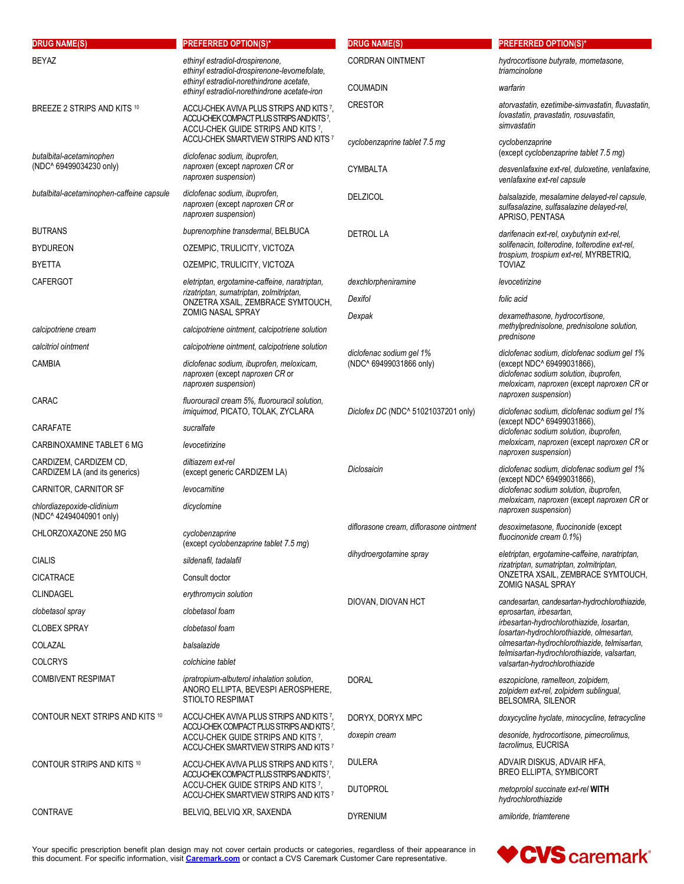| <b>DRUG NAME(S)</b>                                      | <b>PREFERRED OPTION(S)*</b>                                                                                                                                        | <b>DRUG NAME(S)</b>                     | <b>PREFERRED OPTION(S)*</b>                                                                                                                                                                                            |
|----------------------------------------------------------|--------------------------------------------------------------------------------------------------------------------------------------------------------------------|-----------------------------------------|------------------------------------------------------------------------------------------------------------------------------------------------------------------------------------------------------------------------|
| <b>BEYAZ</b>                                             | ethinyl estradiol-drospirenone,<br>ethinyl estradiol-drospirenone-levomefolate,                                                                                    | <b>CORDRAN OINTMENT</b>                 | hydrocortisone butyrate, mometasone,<br>triamcinolone                                                                                                                                                                  |
|                                                          | ethinyl estradiol-norethindrone acetate,<br>ethinyl estradiol-norethindrone acetate-iron                                                                           | <b>COUMADIN</b>                         | warfarin                                                                                                                                                                                                               |
| BREEZE 2 STRIPS AND KITS 10                              | ACCU-CHEK AVIVA PLUS STRIPS AND KITS 7.<br>ACCU-CHEK COMPACT PLUS STRIPS AND KITS 7,<br>ACCU-CHEK GUIDE STRIPS AND KITS 7                                          | <b>CRESTOR</b>                          | atorvastatin, ezetimibe-simvastatin, fluvastatin,<br>lovastatin, pravastatin, rosuvastatin,<br>simvastatin                                                                                                             |
| butalbital-acetaminophen                                 | ACCU-CHEK SMARTVIEW STRIPS AND KITS 7<br>diclofenac sodium, ibuprofen,                                                                                             | cyclobenzaprine tablet 7.5 mg           | cyclobenzaprine<br>(except cyclobenzaprine tablet 7.5 mg)                                                                                                                                                              |
| (NDC^ 69499034230 only)                                  | naproxen (except naproxen CR or<br>naproxen suspension)                                                                                                            | <b>CYMBALTA</b>                         | desvenlafaxine ext-rel, duloxetine, venlafaxine,<br>venlafaxine ext-rel capsule                                                                                                                                        |
| butalbital-acetaminophen-caffeine capsule                | diclofenac sodium, ibuprofen,<br>naproxen (except naproxen CR or<br>naproxen suspension)                                                                           | <b>DELZICOL</b>                         | balsalazide, mesalamine delayed-rel capsule,<br>sulfasalazine, sulfasalazine delayed-rel,<br>APRISO, PENTASA                                                                                                           |
| <b>BUTRANS</b>                                           | buprenorphine transdermal, BELBUCA                                                                                                                                 | <b>DETROL LA</b>                        | darifenacin ext-rel, oxybutynin ext-rel,                                                                                                                                                                               |
| <b>BYDUREON</b>                                          | OZEMPIC, TRULICITY, VICTOZA                                                                                                                                        |                                         | solifenacin, tolterodine, tolterodine ext-rel,<br>trospium, trospium ext-rel, MYRBETRIQ,                                                                                                                               |
| <b>BYETTA</b>                                            | OZEMPIC, TRULICITY, VICTOZA                                                                                                                                        |                                         | <b>TOVIAZ</b>                                                                                                                                                                                                          |
| <b>CAFERGOT</b>                                          | eletriptan, ergotamine-caffeine, naratriptan,<br>rizatriptan, sumatriptan, zolmitriptan,                                                                           | dexchlorpheniramine                     | levocetirizine                                                                                                                                                                                                         |
|                                                          | ONZETRA XSAIL, ZEMBRACE SYMTOUCH,                                                                                                                                  | Dexifol                                 | folic acid                                                                                                                                                                                                             |
|                                                          | ZOMIG NASAL SPRAY                                                                                                                                                  | Dexpak                                  | dexamethasone, hydrocortisone,<br>methylprednisolone, prednisolone solution,                                                                                                                                           |
| calcipotriene cream                                      | calcipotriene ointment, calcipotriene solution                                                                                                                     |                                         | prednisone                                                                                                                                                                                                             |
| calcitriol ointment                                      | calcipotriene ointment, calcipotriene solution                                                                                                                     | diclofenac sodium gel 1%                | diclofenac sodium, diclofenac sodium gel 1%<br>(except NDC^ 69499031866),<br>diclofenac sodium solution, ibuprofen,<br>meloxicam, naproxen (except naproxen CR or                                                      |
| <b>CAMBIA</b>                                            | diclofenac sodium, ibuprofen, meloxicam,<br>naproxen (except naproxen CR or<br>naproxen suspension)                                                                | (NDC^ 69499031866 only)                 |                                                                                                                                                                                                                        |
| CARAC                                                    | fluorouracil cream 5%, fluorouracil solution,<br>imiquimod, PICATO, TOLAK, ZYCLARA                                                                                 | Diclofex DC (NDC^ 51021037201 only)     | naproxen suspension)<br>diclofenac sodium, diclofenac sodium gel 1%                                                                                                                                                    |
| CARAFATE                                                 | sucralfate                                                                                                                                                         |                                         | (except NDC^ 69499031866),<br>diclofenac sodium solution, ibuprofen,<br>meloxicam, naproxen (except naproxen CR or<br>naproxen suspension)                                                                             |
| CARBINOXAMINE TABLET 6 MG                                | levocetirizine                                                                                                                                                     |                                         |                                                                                                                                                                                                                        |
| CARDIZEM, CARDIZEM CD,<br>CARDIZEM LA (and its generics) | diltiazem ext-rel<br>(except generic CARDIZEM LA)                                                                                                                  | Diclosaicin                             | diclofenac sodium, diclofenac sodium gel 1%<br>(except NDC^ 69499031866),                                                                                                                                              |
| CARNITOR, CARNITOR SF                                    | levocarnitine                                                                                                                                                      |                                         | diclofenac sodium solution, ibuprofen,                                                                                                                                                                                 |
| chlordiazepoxide-clidinium<br>(NDC^42494040901 only)     | dicyclomine                                                                                                                                                        |                                         | meloxicam, naproxen (except naproxen CR or<br>naproxen suspension)                                                                                                                                                     |
| CHLORZOXAZONE 250 MG                                     | cyclobenzaprine<br>(except cyclobenzaprine tablet 7.5 mg)                                                                                                          | diflorasone cream, diflorasone ointment | desoximetasone, fluocinonide (except<br>fluocinonide cream 0.1%)                                                                                                                                                       |
| <b>CIALIS</b>                                            | sildenafil, tadalafil                                                                                                                                              | dihydroergotamine spray                 | eletriptan, ergotamine-caffeine, naratriptan,<br>rizatriptan, sumatriptan, zolmitriptan,                                                                                                                               |
| <b>CICATRACE</b>                                         | Consult doctor                                                                                                                                                     |                                         | ONZETRA XSAIL, ZEMBRACE SYMTOUCH,                                                                                                                                                                                      |
| <b>CLINDAGEL</b>                                         | erythromycin solution                                                                                                                                              |                                         | <b>ZOMIG NASAL SPRAY</b>                                                                                                                                                                                               |
| clobetasol spray                                         | clobetasol foam                                                                                                                                                    | DIOVAN, DIOVAN HCT                      | candesartan, candesartan-hydrochlorothiazide,<br>eprosartan, irbesartan,                                                                                                                                               |
| <b>CLOBEX SPRAY</b>                                      | clobetasol foam                                                                                                                                                    |                                         | irbesartan-hydrochlorothiazide, losartan,<br>losartan-hydrochlorothiazide, olmesartan,<br>olmesartan-hydrochlorothiazide, telmisartan,<br>telmisartan-hydrochlorothiazide, valsartan,<br>valsartan-hydrochlorothiazide |
| COLAZAL                                                  | balsalazide                                                                                                                                                        |                                         |                                                                                                                                                                                                                        |
| <b>COLCRYS</b>                                           | colchicine tablet                                                                                                                                                  |                                         |                                                                                                                                                                                                                        |
| <b>COMBIVENT RESPIMAT</b>                                | ipratropium-albuterol inhalation solution,                                                                                                                         |                                         |                                                                                                                                                                                                                        |
|                                                          | ANORO ELLIPTA, BEVESPI AEROSPHERE,<br><b>STIOLTO RESPIMAT</b>                                                                                                      | <b>DORAL</b>                            | eszopiclone, ramelteon, zolpidem,<br>zolpidem ext-rel, zolpidem sublingual,<br><b>BELSOMRA, SILENOR</b>                                                                                                                |
| CONTOUR NEXT STRIPS AND KITS 10                          | ACCU-CHEK AVIVA PLUS STRIPS AND KITS 7,<br>ACCU-CHEK COMPACT PLUS STRIPS AND KITS7,<br>ACCU-CHEK GUIDE STRIPS AND KITS 7,<br>ACCU-CHEK SMARTVIEW STRIPS AND KITS 7 | DORYX, DORYX MPC                        | doxycycline hyclate, minocycline, tetracycline                                                                                                                                                                         |
|                                                          |                                                                                                                                                                    | doxepin cream                           | desonide, hydrocortisone, pimecrolimus,<br>tacrolimus, EUCRISA                                                                                                                                                         |
| CONTOUR STRIPS AND KITS 10                               | ACCU-CHEK AVIVA PLUS STRIPS AND KITS 7,<br>ACCU-CHEK COMPACT PLUS STRIPS AND KITS?,                                                                                | <b>DULERA</b>                           | ADVAIR DISKUS, ADVAIR HFA,<br><b>BREO ELLIPTA, SYMBICORT</b>                                                                                                                                                           |
|                                                          | ACCU-CHEK GUIDE STRIPS AND KITS 7,<br>ACCU-CHEK SMARTVIEW STRIPS AND KITS 7                                                                                        | <b>DUTOPROL</b>                         | metoprolol succinate ext-rel WITH<br>hydrochlorothiazide                                                                                                                                                               |
| <b>CONTRAVE</b>                                          | BELVIQ, BELVIQ XR, SAXENDA                                                                                                                                         | <b>DYRENIUM</b>                         | amiloride, triamterene                                                                                                                                                                                                 |

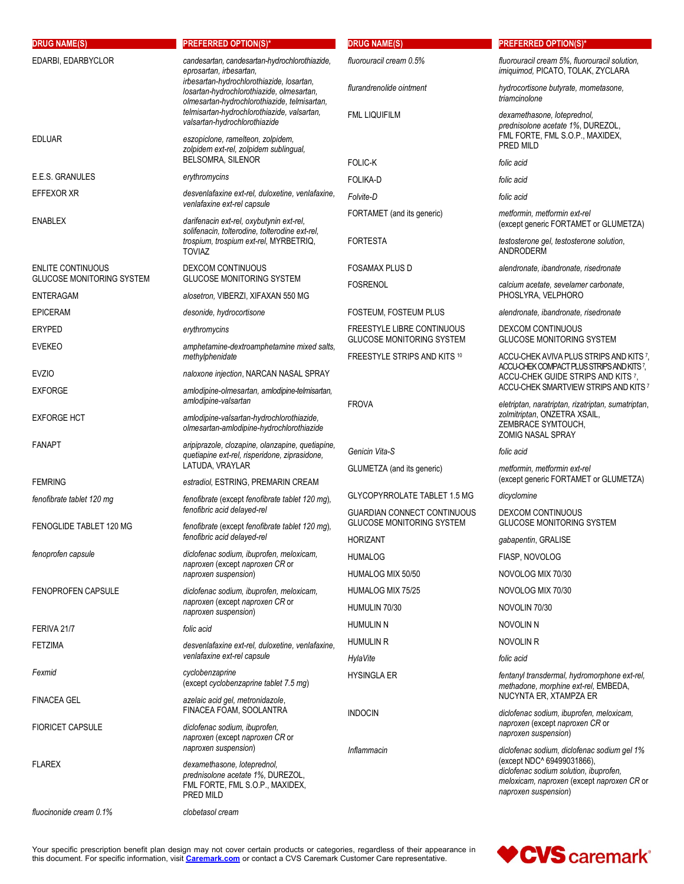| <b>DRUG NAME(S)</b>                           | <b>PREFERRED OPTION(S)*</b>                                                                                                                                                                                        | <b>DRUG NAME(S)</b>                                                   | <b>PREFERRED OPTION(S)*</b>                                                                                                                                                                                               |
|-----------------------------------------------|--------------------------------------------------------------------------------------------------------------------------------------------------------------------------------------------------------------------|-----------------------------------------------------------------------|---------------------------------------------------------------------------------------------------------------------------------------------------------------------------------------------------------------------------|
| EDARBI, EDARBYCLOR                            | candesartan, candesartan-hydrochlorothiazide,<br>eprosartan, irbesartan,<br>irbesartan-hydrochlorothiazide, losartan,<br>losartan-hydrochlorothiazide, olmesartan,<br>olmesartan-hydrochlorothiazide, telmisartan, | fluorouracil cream 0.5%                                               | fluorouracil cream 5%, fluorouracil solution,<br>imiquimod, PICATO, TOLAK, ZYCLARA                                                                                                                                        |
|                                               |                                                                                                                                                                                                                    | flurandrenolide ointment                                              | hydrocortisone butyrate, mometasone,<br>triamcinolone                                                                                                                                                                     |
|                                               | telmisartan-hydrochlorothiazide, valsartan,<br>valsartan-hydrochlorothiazide                                                                                                                                       | <b>FML LIQUIFILM</b>                                                  | dexamethasone, loteprednol,<br>prednisolone acetate 1%, DUREZOL,<br>FML FORTE, FML S.O.P., MAXIDEX,<br>folic acid<br>folic acid<br>folic acid<br>metformin, metformin ext-rel<br>testosterone gel, testosterone solution, |
| <b>EDLUAR</b>                                 | eszopiclone, ramelteon, zolpidem,<br>zolpidem ext-rel, zolpidem sublingual,<br><b>BELSOMRA, SILENOR</b>                                                                                                            | <b>FOLIC-K</b>                                                        | PRED MILD                                                                                                                                                                                                                 |
| E.E.S. GRANULES                               | erythromycins                                                                                                                                                                                                      | <b>FOLIKA-D</b>                                                       |                                                                                                                                                                                                                           |
| EFFEXOR XR                                    | desvenlafaxine ext-rel, duloxetine, venlafaxine,                                                                                                                                                                   | Folvite-D                                                             |                                                                                                                                                                                                                           |
|                                               | venlafaxine ext-rel capsule                                                                                                                                                                                        | FORTAMET (and its generic)                                            |                                                                                                                                                                                                                           |
| ENABLEX                                       | darifenacin ext-rel, oxybutynin ext-rel,<br>solifenacin, tolterodine, tolterodine ext-rel,<br>trospium, trospium ext-rel, MYRBETRIQ,                                                                               | <b>FORTESTA</b>                                                       | (except generic FORTAMET or GLUMETZA)                                                                                                                                                                                     |
|                                               | <b>TOVIAZ</b>                                                                                                                                                                                                      |                                                                       | <b>ANDRODERM</b>                                                                                                                                                                                                          |
| <b>ENLITE CONTINUOUS</b>                      | <b>DEXCOM CONTINUOUS</b>                                                                                                                                                                                           | <b>FOSAMAX PLUS D</b>                                                 | alendronate, ibandronate, risedronate                                                                                                                                                                                     |
| <b>GLUCOSE MONITORING SYSTEM</b><br>ENTERAGAM | <b>GLUCOSE MONITORING SYSTEM</b><br>alosetron, VIBERZI, XIFAXAN 550 MG                                                                                                                                             | <b>FOSRENOL</b>                                                       | calcium acetate, sevelamer carbonate,<br>PHOSLYRA, VELPHORO                                                                                                                                                               |
| <b>EPICERAM</b>                               | desonide, hydrocortisone                                                                                                                                                                                           | FOSTEUM, FOSTEUM PLUS                                                 | alendronate, ibandronate, risedronate                                                                                                                                                                                     |
| <b>ERYPED</b><br><b>EVEKEO</b>                | erythromycins                                                                                                                                                                                                      | <b>FREESTYLE LIBRE CONTINUOUS</b><br><b>GLUCOSE MONITORING SYSTEM</b> | <b>DEXCOM CONTINUOUS</b><br><b>GLUCOSE MONITORING SYSTEM</b>                                                                                                                                                              |
|                                               | amphetamine-dextroamphetamine mixed salts,<br>methylphenidate                                                                                                                                                      | FREESTYLE STRIPS AND KITS 10                                          | ACCU-CHEK AVIVA PLUS STRIPS AND KITS 7,                                                                                                                                                                                   |
| <b>EVZIO</b>                                  | naloxone injection, NARCAN NASAL SPRAY                                                                                                                                                                             |                                                                       | ACCU-CHEK COMPACT PLUS STRIPS AND KITS 7,<br>ACCU-CHEK GUIDE STRIPS AND KITS 7,                                                                                                                                           |
| <b>EXFORGE</b>                                | amlodipine-olmesartan, amlodipine-telmisartan,<br>amlodipine-valsartan                                                                                                                                             | <b>FROVA</b>                                                          | ACCU-CHEK SMARTVIEW STRIPS AND KITS 7<br>eletriptan, naratriptan, rizatriptan, sumatriptan,                                                                                                                               |
| EXFORGE HCT                                   | amlodipine-valsartan-hydrochlorothiazide,<br>olmesartan-amlodipine-hydrochlorothiazide                                                                                                                             |                                                                       | zolmitriptan, ONZETRA XSAIL,<br>ZEMBRACE SYMTOUCH,<br><b>ZOMIG NASAL SPRAY</b>                                                                                                                                            |
| FANAPT                                        | aripiprazole, clozapine, olanzapine, quetiapine,<br>quetiapine ext-rel, risperidone, ziprasidone,                                                                                                                  | Genicin Vita-S<br>GLUMETZA (and its generic)                          | folic acid                                                                                                                                                                                                                |
|                                               | LATUDA, VRAYLAR                                                                                                                                                                                                    |                                                                       | metformin, metformin ext-rel                                                                                                                                                                                              |
| <b>FEMRING</b>                                | estradiol, ESTRING, PREMARIN CREAM                                                                                                                                                                                 |                                                                       | (except generic FORTAMET or GLUMETZA)                                                                                                                                                                                     |
| fenofibrate tablet 120 mg                     | fenofibrate (except fenofibrate tablet 120 mg),<br>fenofibric acid delayed-rel                                                                                                                                     | GLYCOPYRROLATE TABLET 1.5 MG<br><b>GUARDIAN CONNECT CONTINUOUS</b>    | dicyclomine<br>DEXCOM CONTINUOUS                                                                                                                                                                                          |
| FENOGLIDE TABLET 120 MG                       | fenofibrate (except fenofibrate tablet 120 mg),<br>fenofibric acid delayed-rel                                                                                                                                     | <b>GLUCOSE MONITORING SYSTEM</b><br>HORIZANT                          | <b>GLUCOSE MONITORING SYSTEM</b><br>gabapentin, GRALISE                                                                                                                                                                   |
| fenoprofen capsule                            | diclofenac sodium, ibuprofen, meloxicam,                                                                                                                                                                           | <b>HUMALOG</b>                                                        | FIASP, NOVOLOG                                                                                                                                                                                                            |
|                                               | naproxen (except naproxen CR or                                                                                                                                                                                    | HUMALOG MIX 50/50                                                     | NOVOLOG MIX 70/30                                                                                                                                                                                                         |
|                                               | naproxen suspension)                                                                                                                                                                                               | HUMALOG MIX 75/25                                                     | NOVOLOG MIX 70/30                                                                                                                                                                                                         |
| <b>FENOPROFEN CAPSULE</b>                     | diclofenac sodium, ibuprofen, meloxicam,<br>naproxen (except naproxen CR or                                                                                                                                        |                                                                       |                                                                                                                                                                                                                           |
|                                               | naproxen suspension)                                                                                                                                                                                               | HUMULIN 70/30                                                         | NOVOLIN 70/30                                                                                                                                                                                                             |
| FERIVA 21/7                                   | folic acid                                                                                                                                                                                                         | <b>HUMULIN N</b>                                                      | NOVOLIN N                                                                                                                                                                                                                 |
| FETZIMA                                       | desvenlafaxine ext-rel, duloxetine, venlafaxine,                                                                                                                                                                   | <b>HUMULIN R</b>                                                      | NOVOLIN R                                                                                                                                                                                                                 |
|                                               | venlafaxine ext-rel capsule                                                                                                                                                                                        | HylaVite                                                              | folic acid                                                                                                                                                                                                                |
| Fexmid                                        | cyclobenzaprine<br>(except cyclobenzaprine tablet 7.5 mg)                                                                                                                                                          | <b>HYSINGLA ER</b>                                                    | fentanyl transdermal, hydromorphone ext-rel,<br>methadone, morphine ext-rel, EMBEDA,<br>NUCYNTA ER, XTAMPZA ER                                                                                                            |
| FINACEA GEL                                   | azelaic acid gel, metronidazole,<br>FINACEA FOAM, SOOLANTRA                                                                                                                                                        | <b>INDOCIN</b>                                                        | diclofenac sodium, ibuprofen, meloxicam,                                                                                                                                                                                  |
| <b>FIORICET CAPSULE</b>                       | diclofenac sodium, ibuprofen,<br>naproxen (except naproxen CR or<br>naproxen suspension)                                                                                                                           |                                                                       | naproxen (except naproxen CR or<br>naproxen suspension)                                                                                                                                                                   |
| <b>FLAREX</b>                                 | dexamethasone, loteprednol,<br>prednisolone acetate 1%, DUREZOL,<br>FML FORTE, FML S.O.P., MAXIDEX,<br>PRED MILD                                                                                                   | Inflammacin                                                           | diclofenac sodium, diclofenac sodium gel 1%<br>(except NDC^ 69499031866),<br>diclofenac sodium solution, ibuprofen,<br>meloxicam, naproxen (except naproxen CR or<br>naproxen suspension)                                 |
| fluocinonide cream 0.1%                       | clobetasol cream                                                                                                                                                                                                   |                                                                       |                                                                                                                                                                                                                           |

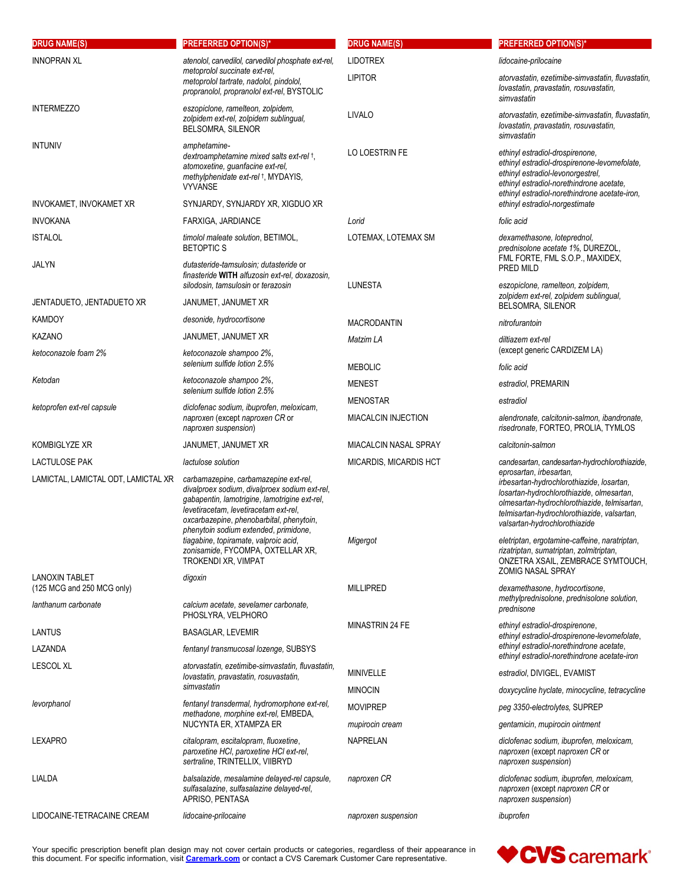| <b>DRUG NAME(S)</b>                                 | <b>PREFERRED OPTION(S)*</b>                                                                                                                                                                                                                                                                                                                                                | <b>DRUG NAME(S)</b>    | <b>PREFERRED OPTION(S)*</b>                                                                                                                                                                                                                       |
|-----------------------------------------------------|----------------------------------------------------------------------------------------------------------------------------------------------------------------------------------------------------------------------------------------------------------------------------------------------------------------------------------------------------------------------------|------------------------|---------------------------------------------------------------------------------------------------------------------------------------------------------------------------------------------------------------------------------------------------|
| <b>INNOPRAN XL</b>                                  | atenolol, carvedilol, carvedilol phosphate ext-rel,<br>metoprolol succinate ext-rel.<br>metoprolol tartrate, nadolol, pindolol,<br>propranolol, propranolol ext-rel, BYSTOLIC                                                                                                                                                                                              | <b>LIDOTREX</b>        | lidocaine-prilocaine                                                                                                                                                                                                                              |
|                                                     |                                                                                                                                                                                                                                                                                                                                                                            | <b>LIPITOR</b>         | atorvastatin, ezetimibe-simvastatin, fluvastatin,<br>lovastatin, pravastatin, rosuvastatin,<br>simvastatin                                                                                                                                        |
| <b>INTERMEZZO</b>                                   | eszopiclone, ramelteon, zolpidem,<br>zolpidem ext-rel, zolpidem sublingual,<br>BELSOMRA, SILENOR                                                                                                                                                                                                                                                                           | LIVALO                 | atorvastatin, ezetimibe-simvastatin, fluvastatin,<br>lovastatin, pravastatin, rosuvastatin,<br>simvastatin                                                                                                                                        |
| <b>INTUNIV</b>                                      | amphetamine-<br>dextroamphetamine mixed salts ext-rel +,<br>atomoxetine, guanfacine ext-rel,<br>methylphenidate ext-rel +, MYDAYIS,<br><b>VYVANSE</b>                                                                                                                                                                                                                      | LO LOESTRIN FE         | ethinyl estradiol-drospirenone.<br>ethinyl estradiol-drospirenone-levomefolate.<br>ethinyl estradiol-levonorgestrel.<br>ethinyl estradiol-norethindrone acetate,<br>ethinyl estradiol-norethindrone acetate-iron,                                 |
| INVOKAMET, INVOKAMET XR                             | SYNJARDY, SYNJARDY XR, XIGDUO XR                                                                                                                                                                                                                                                                                                                                           |                        | ethinyl estradiol-norgestimate                                                                                                                                                                                                                    |
| <b>INVOKANA</b>                                     | FARXIGA, JARDIANCE                                                                                                                                                                                                                                                                                                                                                         | Lorid                  | folic acid                                                                                                                                                                                                                                        |
| <b>ISTALOL</b>                                      | timolol maleate solution, BETIMOL,<br><b>BETOPTIC S</b>                                                                                                                                                                                                                                                                                                                    | LOTEMAX, LOTEMAX SM    | dexamethasone, loteprednol,<br>prednisolone acetate 1%, DUREZOL,<br>FML FORTE, FML S.O.P., MAXIDEX,                                                                                                                                               |
| JALYN                                               | dutasteride-tamsulosin; dutasteride or<br>finasteride WITH alfuzosin ext-rel, doxazosin,<br>silodosin, tamsulosin or terazosin                                                                                                                                                                                                                                             | LUNESTA                | PRED MILD<br>eszopiclone, ramelteon, zolpidem,<br>zolpidem ext-rel, zolpidem sublingual,                                                                                                                                                          |
| JENTADUETO, JENTADUETO XR                           | JANUMET, JANUMET XR                                                                                                                                                                                                                                                                                                                                                        |                        | BELSOMRA, SILENOR                                                                                                                                                                                                                                 |
| <b>KAMDOY</b>                                       | desonide, hydrocortisone                                                                                                                                                                                                                                                                                                                                                   | <b>MACRODANTIN</b>     | nitrofurantoin                                                                                                                                                                                                                                    |
| KAZANO                                              | JANUMET, JANUMET XR                                                                                                                                                                                                                                                                                                                                                        | Matzim LA              | diltiazem ext-rel                                                                                                                                                                                                                                 |
| ketoconazole foam 2%                                | ketoconazole shampoo 2%,<br>selenium sulfide lotion 2.5%                                                                                                                                                                                                                                                                                                                   | <b>MEBOLIC</b>         | (except generic CARDIZEM LA)<br>folic acid                                                                                                                                                                                                        |
| Ketodan                                             | ketoconazole shampoo 2%,<br>selenium sulfide lotion 2.5%                                                                                                                                                                                                                                                                                                                   | <b>MENEST</b>          | estradiol, PREMARIN                                                                                                                                                                                                                               |
| ketoprofen ext-rel capsule                          | diclofenac sodium, ibuprofen, meloxicam,                                                                                                                                                                                                                                                                                                                                   | <b>MENOSTAR</b>        | estradiol                                                                                                                                                                                                                                         |
|                                                     | naproxen (except naproxen CR or<br>naproxen suspension)                                                                                                                                                                                                                                                                                                                    | MIACALCIN INJECTION    | alendronate, calcitonin-salmon, ibandronate,<br>risedronate, FORTEO, PROLIA, TYMLOS                                                                                                                                                               |
| KOMBIGLYZE XR                                       | JANUMET, JANUMET XR                                                                                                                                                                                                                                                                                                                                                        | MIACALCIN NASAL SPRAY  | calcitonin-salmon                                                                                                                                                                                                                                 |
| <b>LACTULOSE PAK</b>                                | lactulose solution                                                                                                                                                                                                                                                                                                                                                         | MICARDIS, MICARDIS HCT | candesartan, candesartan-hydrochlorothiazide,                                                                                                                                                                                                     |
| LAMICTAL, LAMICTAL ODT, LAMICTAL XR                 | carbamazepine, carbamazepine ext-rel,<br>divalproex sodium, divalproex sodium ext-rel,<br>gabapentin, lamotrigine, lamotrigine ext-rel,<br>levetiracetam, levetiracetam ext-rel,<br>oxcarbazepine, phenobarbital, phenytoin,<br>phenytoin sodium extended, primidone,<br>tiagabine, topiramate, valproic acid,<br>zonisamide, FYCOMPA, OXTELLAR XR,<br>TROKENDI XR, VIMPAT |                        | eprosartan, irbesartan,<br>irbesartan-hydrochlorothiazide, losartan,<br>losartan-hydrochlorothiazide, olmesartan,<br>olmesartan-hydrochlorothiazide, telmisartan,<br>telmisartan-hydrochlorothiazide, valsartan,<br>valsartan-hydrochlorothiazide |
|                                                     |                                                                                                                                                                                                                                                                                                                                                                            | Migergot               | eletriptan, ergotamine-caffeine, naratriptan,<br>rizatriptan, sumatriptan, zolmitriptan,<br>ONZETRA XSAIL, ZEMBRACE SYMTOUCH,<br><b>ZOMIG NASAL SPRAY</b>                                                                                         |
| <b>LANOXIN TABLET</b><br>(125 MCG and 250 MCG only) | digoxin                                                                                                                                                                                                                                                                                                                                                                    | <b>MILLIPRED</b>       | dexamethasone, hydrocortisone,<br>methylprednisolone, prednisolone solution,                                                                                                                                                                      |
| lanthanum carbonate                                 | calcium acetate, sevelamer carbonate,<br>PHOSLYRA, VELPHORO                                                                                                                                                                                                                                                                                                                |                        | prednisone                                                                                                                                                                                                                                        |
| LANTUS                                              | <b>BASAGLAR, LEVEMIR</b>                                                                                                                                                                                                                                                                                                                                                   | MINASTRIN 24 FE        | ethinyl estradiol-drospirenone,<br>ethinyl estradiol-drospirenone-levomefolate,                                                                                                                                                                   |
| LAZANDA                                             | fentanyl transmucosal lozenge, SUBSYS                                                                                                                                                                                                                                                                                                                                      |                        | ethinyl estradiol-norethindrone acetate,<br>ethinyl estradiol-norethindrone acetate-iron                                                                                                                                                          |
| <b>LESCOL XL</b>                                    | atorvastatin, ezetimibe-simvastatin, fluvastatin,<br>lovastatin, pravastatin, rosuvastatin,                                                                                                                                                                                                                                                                                | MINIVELLE              | estradiol, DIVIGEL, EVAMIST                                                                                                                                                                                                                       |
|                                                     | simvastatin                                                                                                                                                                                                                                                                                                                                                                | <b>MINOCIN</b>         | doxycycline hyclate, minocycline, tetracycline                                                                                                                                                                                                    |
| levorphanol                                         | fentanyl transdermal, hydromorphone ext-rel,                                                                                                                                                                                                                                                                                                                               | <b>MOVIPREP</b>        | peg 3350-electrolytes, SUPREP                                                                                                                                                                                                                     |
|                                                     | methadone, morphine ext-rel, EMBEDA,<br>NUCYNTA ER, XTAMPZA ER                                                                                                                                                                                                                                                                                                             | mupirocin cream        | gentamicin, mupirocin ointment                                                                                                                                                                                                                    |
| <b>LEXAPRO</b>                                      | citalopram, escitalopram, fluoxetine,<br>paroxetine HCI, paroxetine HCI ext-rel,<br>sertraline, TRINTELLIX, VIIBRYD                                                                                                                                                                                                                                                        | <b>NAPRELAN</b>        | diclofenac sodium, ibuprofen, meloxicam,<br>naproxen (except naproxen CR or<br>naproxen suspension)                                                                                                                                               |
| LIALDA                                              | balsalazide, mesalamine delayed-rel capsule,<br>sulfasalazine, sulfasalazine delayed-rel,<br>APRISO, PENTASA                                                                                                                                                                                                                                                               | naproxen CR            | diclofenac sodium, ibuprofen, meloxicam,<br>naproxen (except naproxen CR or<br>naproxen suspension)                                                                                                                                               |
| LIDOCAINE-TETRACAINE CREAM                          | lidocaine-prilocaine                                                                                                                                                                                                                                                                                                                                                       | naproxen suspension    | ibuprofen                                                                                                                                                                                                                                         |

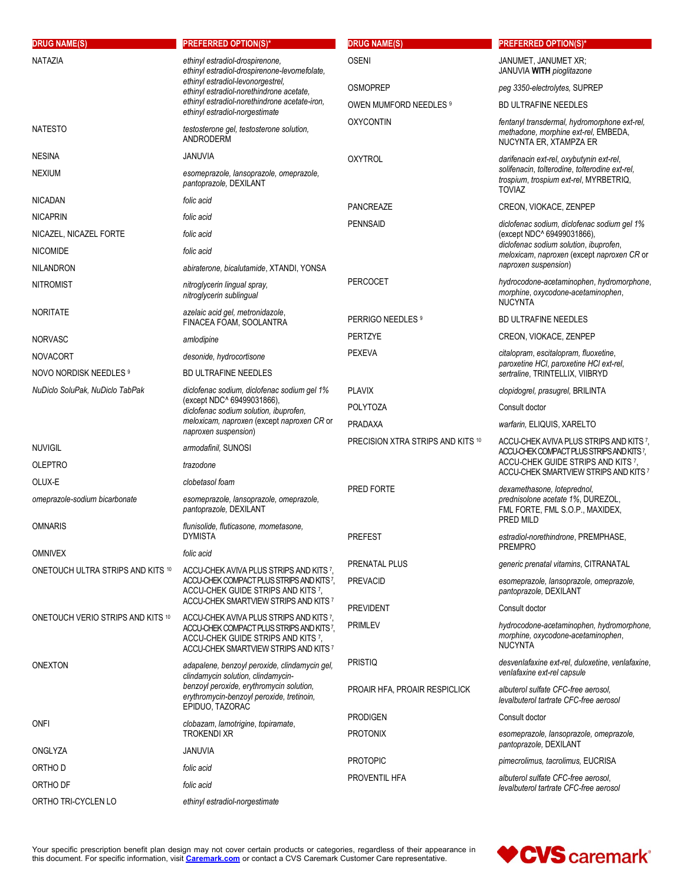| <b>DRUG NAME(S)</b>               | <b>PREFERRED OPTION(S)*</b>                                                                                                                                                                                                                         | <b>DRUG NAME(S)</b>               | <b>PREFERRED OPTION(S)*</b>                                                                                                                  |
|-----------------------------------|-----------------------------------------------------------------------------------------------------------------------------------------------------------------------------------------------------------------------------------------------------|-----------------------------------|----------------------------------------------------------------------------------------------------------------------------------------------|
| NATAZIA                           | ethinyl estradiol-drospirenone,<br>ethinyl estradiol-drospirenone-levomefolate.<br>ethinyl estradiol-levonorgestrel,<br>ethinyl estradiol-norethindrone acetate,<br>ethinyl estradiol-norethindrone acetate-iron,<br>ethinyl estradiol-norgestimate | <b>OSENI</b>                      | JANUMET, JANUMET XR;<br>JANUVIA WITH pioglitazone                                                                                            |
|                                   |                                                                                                                                                                                                                                                     | <b>OSMOPREP</b>                   | peg 3350-electrolytes, SUPREP                                                                                                                |
|                                   |                                                                                                                                                                                                                                                     | OWEN MUMFORD NEEDLES 9            | <b>BD ULTRAFINE NEEDLES</b>                                                                                                                  |
| <b>NATESTO</b>                    | testosterone gel, testosterone solution,<br>ANDRODERM                                                                                                                                                                                               | <b>OXYCONTIN</b>                  | fentanyl transdermal, hydromorphone ext-rel,<br>methadone, morphine ext-rel, EMBEDA,<br>NUCYNTA ER, XTAMPZA ER                               |
| <b>NESINA</b>                     | JANUVIA                                                                                                                                                                                                                                             | <b>OXYTROL</b>                    | darifenacin ext-rel, oxybutynin ext-rel,                                                                                                     |
| <b>NEXIUM</b>                     | esomeprazole, lansoprazole, omeprazole,<br>pantoprazole, DEXILANT                                                                                                                                                                                   |                                   | solifenacin, tolterodine, tolterodine ext-rel,<br>trospium, trospium ext-rel, MYRBETRIQ,<br><b>TOVIAZ</b>                                    |
| <b>NICADAN</b>                    | folic acid                                                                                                                                                                                                                                          | PANCREAZE                         | CREON, VIOKACE, ZENPEP                                                                                                                       |
| <b>NICAPRIN</b>                   | folic acid                                                                                                                                                                                                                                          | <b>PENNSAID</b>                   | diclofenac sodium, diclofenac sodium gel 1%                                                                                                  |
| NICAZEL, NICAZEL FORTE            | folic acid                                                                                                                                                                                                                                          |                                   | (except NDC^ 69499031866),<br>diclofenac sodium solution, ibuprofen,                                                                         |
| <b>NICOMIDE</b>                   | folic acid                                                                                                                                                                                                                                          |                                   | meloxicam, naproxen (except naproxen CR or                                                                                                   |
| <b>NILANDRON</b>                  | abiraterone, bicalutamide, XTANDI, YONSA                                                                                                                                                                                                            |                                   | naproxen suspension)                                                                                                                         |
| <b>NITROMIST</b>                  | nitroglycerin lingual spray,<br>nitroglycerin sublingual                                                                                                                                                                                            | <b>PERCOCET</b>                   | hydrocodone-acetaminophen, hydromorphone,<br>morphine, oxycodone-acetaminophen,<br><b>NUCYNTA</b>                                            |
| <b>NORITATE</b>                   | azelaic acid gel, metronidazole,<br>FINACEA FOAM, SOOLANTRA                                                                                                                                                                                         | PERRIGO NEEDLES 9                 | <b>BD ULTRAFINE NEEDLES</b>                                                                                                                  |
| <b>NORVASC</b>                    | amlodipine                                                                                                                                                                                                                                          | <b>PERTZYE</b>                    | CREON, VIOKACE, ZENPEP                                                                                                                       |
| <b>NOVACORT</b>                   | desonide, hydrocortisone                                                                                                                                                                                                                            | <b>PEXEVA</b>                     | citalopram, escitalopram, fluoxetine,                                                                                                        |
| NOVO NORDISK NEEDLES 9            | <b>BD ULTRAFINE NEEDLES</b>                                                                                                                                                                                                                         |                                   | paroxetine HCI, paroxetine HCI ext-rel,<br>sertraline, TRINTELLIX, VIIBRYD                                                                   |
| NuDiclo SoluPak, NuDiclo TabPak   | diclofenac sodium, diclofenac sodium gel 1%<br>(except NDC^ 69499031866),<br>diclofenac sodium solution, ibuprofen,<br>meloxicam, naproxen (except naproxen CR or                                                                                   | <b>PLAVIX</b>                     | clopidogrel, prasugrel, BRILINTA                                                                                                             |
|                                   |                                                                                                                                                                                                                                                     | <b>POLYTOZA</b>                   | Consult doctor                                                                                                                               |
|                                   |                                                                                                                                                                                                                                                     | PRADAXA                           | warfarin, ELIQUIS, XARELTO                                                                                                                   |
| <b>NUVIGIL</b>                    | naproxen suspension)<br>armodafinil, SUNOSI                                                                                                                                                                                                         | PRECISION XTRA STRIPS AND KITS 10 | ACCU-CHEK AVIVA PLUS STRIPS AND KITS 7,<br>ACCU-CHEK COMPACT PLUS STRIPS AND KITS 7,<br>ACCU-CHEK GUIDE STRIPS AND KITS 7,                   |
| <b>OLEPTRO</b>                    | trazodone                                                                                                                                                                                                                                           |                                   |                                                                                                                                              |
| OLUX-E                            | clobetasol foam                                                                                                                                                                                                                                     |                                   | ACCU-CHEK SMARTVIEW STRIPS AND KITS 7<br>dexamethasone, loteprednol,<br>prednisolone acetate 1%, DUREZOL,<br>FML FORTE, FML S.O.P., MAXIDEX, |
| omeprazole-sodium bicarbonate     | esomeprazole, lansoprazole, omeprazole,<br>pantoprazole, DEXILANT                                                                                                                                                                                   | PRED FORTE                        |                                                                                                                                              |
| <b>OMNARIS</b>                    | flunisolide, fluticasone, mometasone,<br><b>DYMISTA</b>                                                                                                                                                                                             | <b>PREFEST</b>                    | PRED MILD<br>estradiol-norethindrone, PREMPHASE,                                                                                             |
| <b>OMNIVEX</b>                    | folic acid                                                                                                                                                                                                                                          |                                   | <b>PREMPRO</b>                                                                                                                               |
| ONETOUCH ULTRA STRIPS AND KITS 10 | ACCU-CHEK AVIVA PLUS STRIPS AND KITS 7,<br>ACCU-CHEK COMPACT PLUS STRIPS AND KITS?<br>ACCU-CHEK GUIDE STRIPS AND KITS 7,                                                                                                                            | PRENATAL PLUS                     | generic prenatal vitamins, CITRANATAL                                                                                                        |
|                                   |                                                                                                                                                                                                                                                     | <b>PREVACID</b>                   | esomeprazole, lansoprazole, omeprazole,<br>pantoprazole, DEXILANT                                                                            |
| ONETOUCH VERIO STRIPS AND KITS 10 | ACCU-CHEK SMARTVIEW STRIPS AND KITS 7                                                                                                                                                                                                               | <b>PREVIDENT</b>                  | Consult doctor                                                                                                                               |
|                                   | ACCU-CHEK AVIVA PLUS STRIPS AND KITS 7,<br>ACCU-CHEK COMPACT PLUS STRIPS AND KITS?<br>ACCU-CHEK GUIDE STRIPS AND KITS 7.<br>ACCU-CHEK SMARTVIEW STRIPS AND KITS 7                                                                                   | <b>PRIMLEV</b>                    | hydrocodone-acetaminophen, hydromorphone,<br>morphine, oxycodone-acetaminophen,<br><b>NUCYNTA</b>                                            |
| <b>ONEXTON</b>                    | adapalene, benzoyl peroxide, clindamycin gel,<br>clindamycin solution, clindamycin-<br>benzoyl peroxide, erythromycin solution,<br>erythromycin-benzoyl peroxide, tretinoin,<br>EPIDUO, TAZORAC                                                     | <b>PRISTIQ</b>                    | desvenlafaxine ext-rel, duloxetine, venlafaxine,<br>venlafaxine ext-rel capsule                                                              |
|                                   |                                                                                                                                                                                                                                                     | PROAIR HFA, PROAIR RESPICLICK     | albuterol sulfate CFC-free aerosol.<br>levalbuterol tartrate CFC-free aerosol                                                                |
| ONFI                              | clobazam, lamotrigine, topiramate,<br><b>TROKENDI XR</b>                                                                                                                                                                                            | <b>PRODIGEN</b>                   | Consult doctor                                                                                                                               |
|                                   |                                                                                                                                                                                                                                                     | <b>PROTONIX</b>                   | esomeprazole, lansoprazole, omeprazole,<br>pantoprazole, DEXILANT                                                                            |
| ONGLYZA                           | JANUVIA                                                                                                                                                                                                                                             | <b>PROTOPIC</b>                   | pimecrolimus, tacrolimus, EUCRISA                                                                                                            |
| ORTHO D                           | folic acid                                                                                                                                                                                                                                          | PROVENTIL HFA                     | albuterol sulfate CFC-free aerosol,                                                                                                          |
| ORTHO DF                          | folic acid                                                                                                                                                                                                                                          |                                   | levalbuterol tartrate CFC-free aerosol                                                                                                       |
| ORTHO TRI-CYCLEN LO               | ethinyl estradiol-norgestimate                                                                                                                                                                                                                      |                                   |                                                                                                                                              |

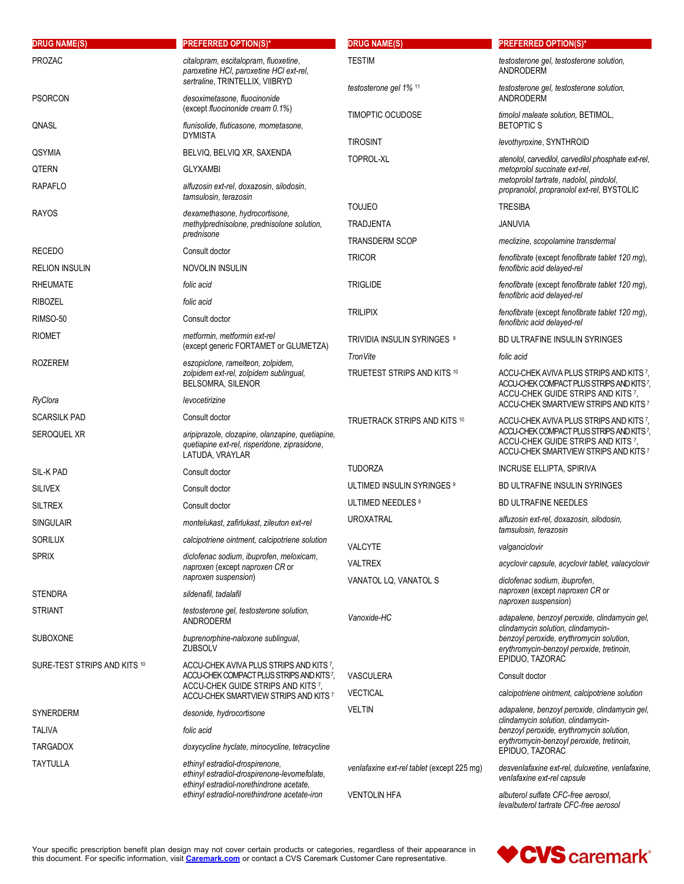| <b>DRUG NAME(S)</b>                | <b>PREFERRED OPTION(S)*</b>                                                                                                            | <b>DRUG NAME(S)</b>                        | <b>PREFERRED OPTION(S)*</b>                                                                                                                                                                     |
|------------------------------------|----------------------------------------------------------------------------------------------------------------------------------------|--------------------------------------------|-------------------------------------------------------------------------------------------------------------------------------------------------------------------------------------------------|
| PROZAC                             | citalopram, escitalopram, fluoxetine,<br>paroxetine HCI, paroxetine HCI ext-rel,                                                       | <b>TESTIM</b>                              | testosterone gel, testosterone solution,<br>ANDRODERM                                                                                                                                           |
| <b>PSORCON</b>                     | sertraline, TRINTELLIX, VIIBRYD<br>desoximetasone, fluocinonide                                                                        | testosterone gel 1% 11                     | testosterone gel, testosterone solution,<br>ANDRODERM                                                                                                                                           |
| QNASL                              | (except fluocinonide cream 0.1%)<br>flunisolide, fluticasone, mometasone,                                                              | TIMOPTIC OCUDOSE                           | timolol maleate solution, BETIMOL,<br><b>BETOPTICS</b>                                                                                                                                          |
|                                    | <b>DYMISTA</b>                                                                                                                         | <b>TIROSINT</b>                            | levothyroxine, SYNTHROID                                                                                                                                                                        |
| QSYMIA                             | BELVIQ, BELVIQ XR, SAXENDA                                                                                                             | <b>TOPROL-XL</b>                           | atenolol, carvedilol, carvedilol phosphate ext-rel,                                                                                                                                             |
| QTERN<br><b>RAPAFLO</b>            | <b>GLYXAMBI</b><br>alfuzosin ext-rel, doxazosin, silodosin,                                                                            |                                            | metoprolol succinate ext-rel,<br>metoprolol tartrate, nadolol, pindolol,<br>propranolol, propranolol ext-rel, BYSTOLIC                                                                          |
|                                    | tamsulosin, terazosin                                                                                                                  | <b>TOUJEO</b>                              | <b>TRESIBA</b>                                                                                                                                                                                  |
| <b>RAYOS</b>                       | dexamethasone, hydrocortisone,<br>methylprednisolone, prednisolone solution,<br>prednisone                                             | <b>TRADJENTA</b>                           | <b>JANUVIA</b>                                                                                                                                                                                  |
| <b>RECEDO</b>                      | Consult doctor                                                                                                                         | <b>TRANSDERM SCOP</b>                      | meclizine, scopolamine transdermal                                                                                                                                                              |
| <b>RELION INSULIN</b>              | NOVOLIN INSULIN                                                                                                                        | <b>TRICOR</b>                              | fenofibrate (except fenofibrate tablet 120 mg),<br>fenofibric acid delayed-rel                                                                                                                  |
| <b>RHEUMATE</b>                    | folic acid                                                                                                                             | <b>TRIGLIDE</b>                            | fenofibrate (except fenofibrate tablet 120 mg),                                                                                                                                                 |
| <b>RIBOZEL</b>                     | folic acid                                                                                                                             |                                            | fenofibric acid delayed-rel                                                                                                                                                                     |
| RIMSO-50                           | Consult doctor                                                                                                                         | <b>TRILIPIX</b>                            | fenofibrate (except fenofibrate tablet 120 mg),                                                                                                                                                 |
| <b>RIOMET</b>                      | metformin, metformin ext-rel                                                                                                           |                                            | fenofibric acid delayed-rel                                                                                                                                                                     |
|                                    | (except generic FORTAMET or GLUMETZA)                                                                                                  | TRIVIDIA INSULIN SYRINGES 9                | BD ULTRAFINE INSULIN SYRINGES                                                                                                                                                                   |
| <b>ROZEREM</b>                     | eszopiclone, ramelteon, zolpidem,                                                                                                      | TronVite                                   | folic acid                                                                                                                                                                                      |
|                                    | zolpidem ext-rel, zolpidem sublingual,<br>BELSOMRA, SILENOR                                                                            | TRUETEST STRIPS AND KITS 10                | ACCU-CHEK AVIVA PLUS STRIPS AND KITS 7.<br>ACCU-CHEK COMPACT PLUS STRIPS AND KITS 7,<br>ACCU-CHEK GUIDE STRIPS AND KITS 7,                                                                      |
| RyClora                            | levocetirizine                                                                                                                         |                                            | ACCU-CHEK SMARTVIEW STRIPS AND KITS 7                                                                                                                                                           |
| <b>SCARSILK PAD</b><br>SEROQUEL XR | Consult doctor<br>aripiprazole, clozapine, olanzapine, quetiapine,<br>quetiapine ext-rel, risperidone, ziprasidone,<br>LATUDA, VRAYLAR | TRUETRACK STRIPS AND KITS 10               | ACCU-CHEK AVIVA PLUS STRIPS AND KITS 7,<br>ACCU-CHEK COMPACT PLUS STRIPS AND KITS7,<br>ACCU-CHEK GUIDE STRIPS AND KITS 7,<br>ACCU-CHEK SMARTVIEW STRIPS AND KITS 7                              |
| SIL-K PAD                          | Consult doctor                                                                                                                         | <b>TUDORZA</b>                             | <b>INCRUSE ELLIPTA, SPIRIVA</b>                                                                                                                                                                 |
| <b>SILIVEX</b>                     | Consult doctor                                                                                                                         | ULTIMED INSULIN SYRINGES <sup>9</sup>      | BD ULTRAFINE INSULIN SYRINGES                                                                                                                                                                   |
| <b>SILTREX</b>                     | Consult doctor                                                                                                                         | ULTIMED NEEDLES 9                          | <b>BD ULTRAFINE NEEDLES</b>                                                                                                                                                                     |
| <b>SINGULAIR</b>                   | montelukast, zafirlukast, zileuton ext-rel                                                                                             | <b>UROXATRAL</b>                           | alfuzosin ext-rel, doxazosin, silodosin,<br>tamsulosin, terazosin                                                                                                                               |
| SORILUX                            | calcipotriene ointment, calcipotriene solution                                                                                         | VALCYTE                                    | valganciclovir                                                                                                                                                                                  |
| <b>SPRIX</b>                       | diclofenac sodium, ibuprofen, meloxicam,                                                                                               | <b>VALTREX</b>                             | acyclovir capsule, acyclovir tablet, valacyclovir                                                                                                                                               |
|                                    | naproxen (except naproxen CR or<br>naproxen suspension)                                                                                | VANATOL LQ, VANATOL S                      | diclofenac sodium, ibuprofen,                                                                                                                                                                   |
| <b>STENDRA</b>                     | sildenafil, tadalafil                                                                                                                  |                                            | naproxen (except naproxen CR or                                                                                                                                                                 |
| <b>STRIANT</b>                     | testosterone gel, testosterone solution,<br>ANDRODERM                                                                                  | Vanoxide-HC                                | naproxen suspension)<br>adapalene, benzoyl peroxide, clindamycin gel,                                                                                                                           |
| <b>SUBOXONE</b>                    | buprenorphine-naloxone sublingual,<br><b>ZUBSOLV</b>                                                                                   |                                            | clindamycin solution, clindamycin-<br>benzoyl peroxide, erythromycin solution,<br>erythromycin-benzoyl peroxide, tretinoin,                                                                     |
| SURE-TEST STRIPS AND KITS 10       | ACCU-CHEK AVIVA PLUS STRIPS AND KITS 7,<br>ACCU-CHEK COMPACT PLUS STRIPS AND KITS?                                                     | <b>VASCULERA</b>                           | EPIDUO, TAZORAC<br>Consult doctor                                                                                                                                                               |
|                                    | ACCU-CHEK GUIDE STRIPS AND KITS 7,<br>ACCU-CHEK SMARTVIEW STRIPS AND KITS 7                                                            | <b>VECTICAL</b>                            | calcipotriene ointment, calcipotriene solution                                                                                                                                                  |
| SYNERDERM                          | desonide, hydrocortisone                                                                                                               | <b>VELTIN</b>                              | adapalene, benzoyl peroxide, clindamycin gel,<br>clindamycin solution, clindamycin-<br>benzoyl peroxide, erythromycin solution,<br>erythromycin-benzoyl peroxide, tretinoin,<br>EPIDUO, TAZORAC |
| TALIVA                             | folic acid                                                                                                                             |                                            |                                                                                                                                                                                                 |
| <b>TARGADOX</b>                    | doxycycline hyclate, minocycline, tetracycline                                                                                         |                                            |                                                                                                                                                                                                 |
| TAYTULLA                           | ethinyl estradiol-drospirenone,<br>ethinyl estradiol-drospirenone-levomefolate,<br>ethinyl estradiol-norethindrone acetate,            | venlafaxine ext-rel tablet (except 225 mg) | desvenlafaxine ext-rel, duloxetine, venlafaxine,<br>venlafaxine ext-rel capsule                                                                                                                 |
|                                    | ethinyl estradiol-norethindrone acetate-iron                                                                                           | <b>VENTOLIN HFA</b>                        | albuterol sulfate CFC-free aerosol,<br>levalbuterol tartrate CFC-free aerosol                                                                                                                   |

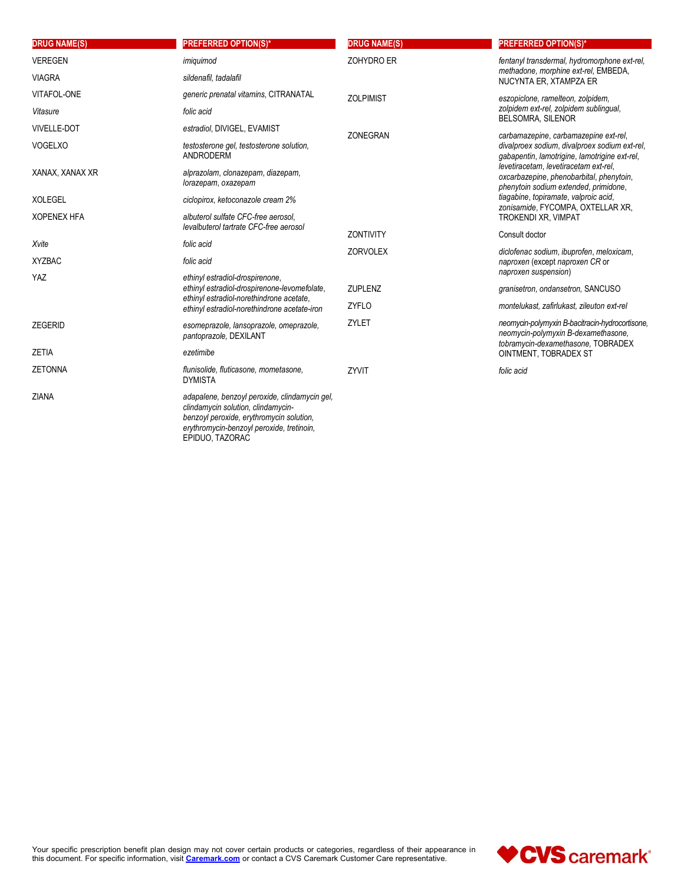| <b>DRUG NAME(S)</b> | <b>PREFERRED OPTION(S)*</b>                                                                                                                                                  | <b>DRUG NAME(S)</b> | <b>PREFERRED OPTION(S)*</b>                                                                                                  |
|---------------------|------------------------------------------------------------------------------------------------------------------------------------------------------------------------------|---------------------|------------------------------------------------------------------------------------------------------------------------------|
| <b>VEREGEN</b>      | imiquimod                                                                                                                                                                    | ZOHYDRO ER          | fentanyl transdermal, hydromorphone ext-rel,                                                                                 |
| <b>VIAGRA</b>       | sildenafil, tadalafil                                                                                                                                                        |                     | methadone, morphine ext-rel, EMBEDA,<br>NUCYNTA ER. XTAMPZA ER                                                               |
| VITAFOL-ONE         | generic prenatal vitamins, CITRANATAL                                                                                                                                        | <b>ZOLPIMIST</b>    | eszopiclone, ramelteon, zolpidem,                                                                                            |
| Vitasure            | folic acid                                                                                                                                                                   |                     | zolpidem ext-rel, zolpidem sublingual,<br>BELSOMRA, SILENOR                                                                  |
| <b>VIVELLE-DOT</b>  | estradiol, DIVIGEL, EVAMIST                                                                                                                                                  | ZONEGRAN            | carbamazepine, carbamazepine ext-rel,                                                                                        |
| <b>VOGELXO</b>      | testosterone gel, testosterone solution,<br><b>ANDRODERM</b>                                                                                                                 |                     | divalproex sodium, divalproex sodium ext-rel,<br>gabapentin, lamotrigine, lamotrigine ext-rel,                               |
| XANAX, XANAX XR     | alprazolam, clonazepam, diazepam,<br>lorazepam, oxazepam                                                                                                                     |                     | levetiracetam, levetiracetam ext-rel,<br>oxcarbazepine, phenobarbital, phenytoin,<br>phenytoin sodium extended, primidone,   |
| <b>XOLEGEL</b>      | ciclopirox, ketoconazole cream 2%                                                                                                                                            |                     | tiagabine, topiramate, valproic acid,<br>zonisamide, FYCOMPA, OXTELLAR XR,                                                   |
| <b>XOPENEX HFA</b>  | albuterol sulfate CFC-free aerosol,                                                                                                                                          |                     | <b>TROKENDI XR, VIMPAT</b>                                                                                                   |
|                     | levalbuterol tartrate CFC-free aerosol                                                                                                                                       | <b>ZONTIVITY</b>    | Consult doctor                                                                                                               |
| Xvite               | folic acid                                                                                                                                                                   | <b>ZORVOLEX</b>     | diclofenac sodium, ibuprofen, meloxicam,                                                                                     |
| <b>XYZBAC</b>       | folic acid                                                                                                                                                                   |                     | naproxen (except naproxen CR or<br>naproxen suspension)                                                                      |
| YAZ                 | ethinyl estradiol-drospirenone,                                                                                                                                              |                     |                                                                                                                              |
|                     | ethinyl estradiol-drospirenone-levomefolate,<br>ethinyl estradiol-norethindrone acetate,                                                                                     | <b>ZUPLENZ</b>      | granisetron, ondansetron, SANCUSO                                                                                            |
|                     | ethinyl estradiol-norethindrone acetate-iron                                                                                                                                 | <b>ZYFLO</b>        | montelukast, zafirlukast, zileuton ext-rel                                                                                   |
| <b>ZEGERID</b>      | esomeprazole, lansoprazole, omeprazole,<br>pantoprazole, DEXILANT                                                                                                            | ZYLET               | neomycin-polymyxin B-bacitracin-hydrocortisone.<br>neomycin-polymyxin B-dexamethasone,<br>tobramycin-dexamethasone, TOBRADEX |
| <b>ZETIA</b>        | ezetimibe                                                                                                                                                                    |                     | OINTMENT, TOBRADEX ST                                                                                                        |
| <b>ZETONNA</b>      | flunisolide, fluticasone, mometasone,<br><b>DYMISTA</b>                                                                                                                      | ZYVIT               | folic acid                                                                                                                   |
| <b>ZIANA</b>        | adapalene, benzoyl peroxide, clindamycin gel,<br>clindamycin solution, clindamycin-<br>benzoyl peroxide, erythromycin solution,<br>erythromycin-benzoyl peroxide, tretinoin, |                     |                                                                                                                              |

EPIDUO, TAZORAC